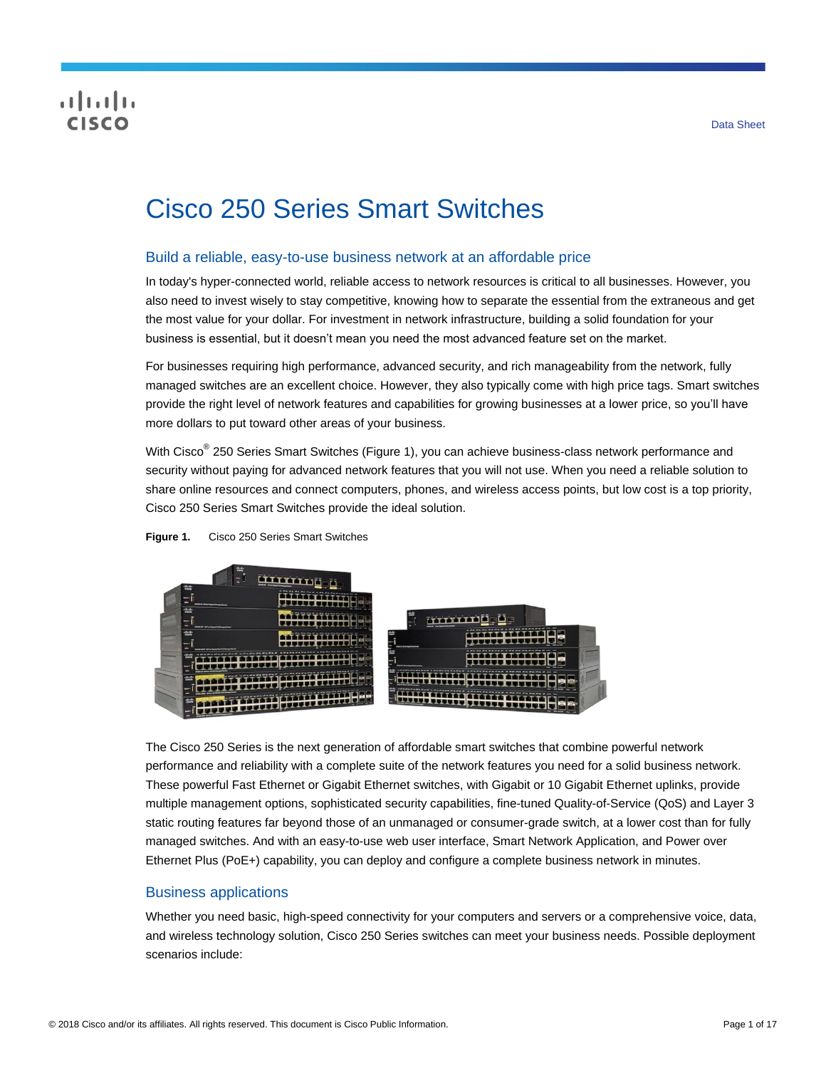## CISCO

# Cisco 250 Series Smart Switches

## Build a reliable, easy-to-use business network at an affordable price

In today's hyper-connected world, reliable access to network resources is critical to all businesses. However, you also need to invest wisely to stay competitive, knowing how to separate the essential from the extraneous and get the most value for your dollar. For investment in network infrastructure, building a solid foundation for your business is essential, but it doesn't mean you need the most advanced feature set on the market.

For businesses requiring high performance, advanced security, and rich manageability from the network, fully managed switches are an excellent choice. However, they also typically come with high price tags. Smart switches provide the right level of network features and capabilities for growing businesses at a lower price, so you'll have more dollars to put toward other areas of your business.

With Cisco<sup>®</sup> 250 Series Smart Switches (Figure 1), you can achieve business-class network performance and security without paying for advanced network features that you will not use. When you need a reliable solution to share online resources and connect computers, phones, and wireless access points, but low cost is a top priority, Cisco 250 Series Smart Switches provide the ideal solution.



**Figure 1.** Cisco 250 Series Smart Switches

The Cisco 250 Series is the next generation of affordable smart switches that combine powerful network performance and reliability with a complete suite of the network features you need for a solid business network. These powerful Fast Ethernet or Gigabit Ethernet switches, with Gigabit or 10 Gigabit Ethernet uplinks, provide multiple management options, sophisticated security capabilities, fine-tuned Quality-of-Service (QoS) and Layer 3 static routing features far beyond those of an unmanaged or consumer-grade switch, at a lower cost than for fully managed switches. And with an easy-to-use web user interface, Smart Network Application, and Power over Ethernet Plus (PoE+) capability, you can deploy and configure a complete business network in minutes.

## Business applications

Whether you need basic, high-speed connectivity for your computers and servers or a comprehensive voice, data, and wireless technology solution, Cisco 250 Series switches can meet your business needs. Possible deployment scenarios include: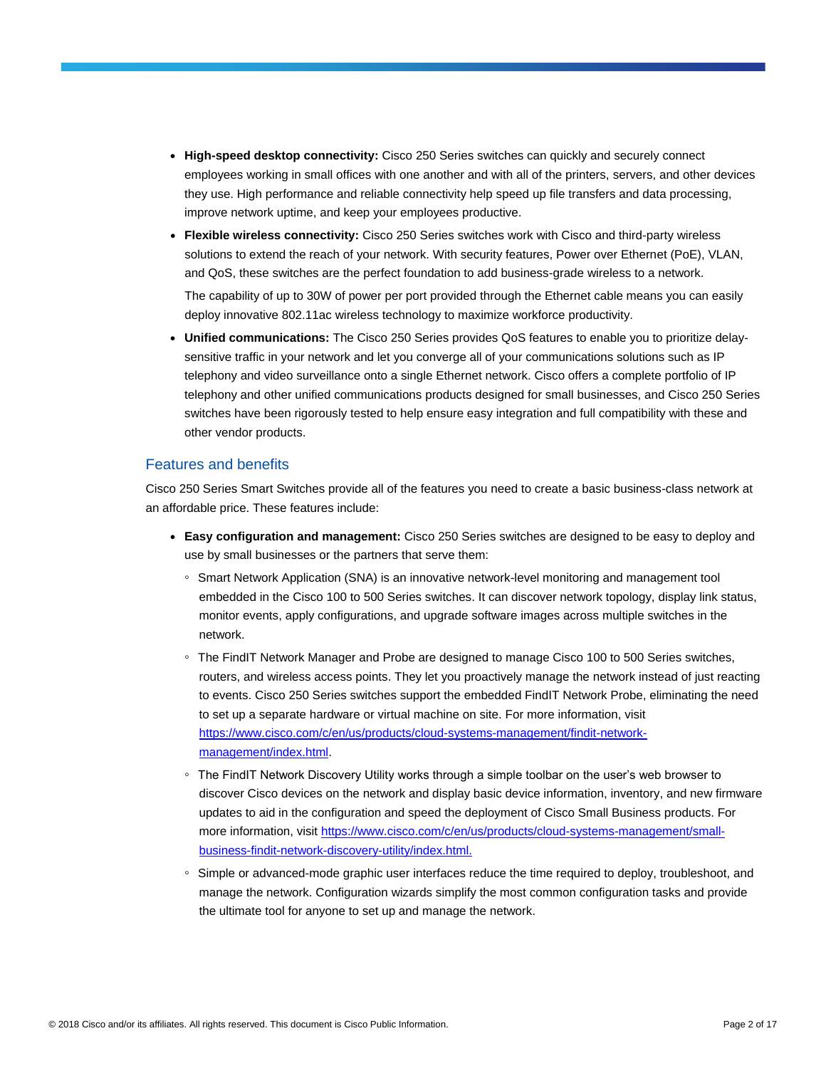- **High-speed desktop connectivity:** Cisco 250 Series switches can quickly and securely connect employees working in small offices with one another and with all of the printers, servers, and other devices they use. High performance and reliable connectivity help speed up file transfers and data processing, improve network uptime, and keep your employees productive.
- **Flexible wireless connectivity:** Cisco 250 Series switches work with Cisco and third-party wireless solutions to extend the reach of your network. With security features, Power over Ethernet (PoE), VLAN, and QoS, these switches are the perfect foundation to add business-grade wireless to a network.

The capability of up to 30W of power per port provided through the Ethernet cable means you can easily deploy innovative 802.11ac wireless technology to maximize workforce productivity.

● **Unified communications:** The Cisco 250 Series provides QoS features to enable you to prioritize delaysensitive traffic in your network and let you converge all of your communications solutions such as IP telephony and video surveillance onto a single Ethernet network. Cisco offers a complete portfolio of IP telephony and other unified communications products designed for small businesses, and Cisco 250 Series switches have been rigorously tested to help ensure easy integration and full compatibility with these and other vendor products.

### Features and benefits

Cisco 250 Series Smart Switches provide all of the features you need to create a basic business-class network at an affordable price. These features include:

- **Easy configuration and management:** Cisco 250 Series switches are designed to be easy to deploy and use by small businesses or the partners that serve them:
	- Smart Network Application (SNA) is an innovative network-level monitoring and management tool embedded in the Cisco 100 to 500 Series switches. It can discover network topology, display link status, monitor events, apply configurations, and upgrade software images across multiple switches in the network.
	- The FindIT Network Manager and Probe are designed to manage Cisco 100 to 500 Series switches, routers, and wireless access points. They let you proactively manage the network instead of just reacting to events. Cisco 250 Series switches support the embedded FindIT Network Probe, eliminating the need to set up a separate hardware or virtual machine on site. For more information, visit [https://www.cisco.com/c/en/us/products/cloud-systems-management/findit-network](https://www.cisco.com/c/en/us/products/cloud-systems-management/findit-network-management/index.html)[management/index.html.](https://www.cisco.com/c/en/us/products/cloud-systems-management/findit-network-management/index.html)
	- The FindIT Network Discovery Utility works through a simple toolbar on the user's web browser to discover Cisco devices on the network and display basic device information, inventory, and new firmware updates to aid in the configuration and speed the deployment of Cisco Small Business products. For more information, visit https://www.cisco.com/c/en/us/products/cloud-systems-management/smallbusiness-findit-network-discovery-utility/index.html.
	- Simple or advanced-mode graphic user interfaces reduce the time required to deploy, troubleshoot, and manage the network. Configuration wizards simplify the most common configuration tasks and provide the ultimate tool for anyone to set up and manage the network.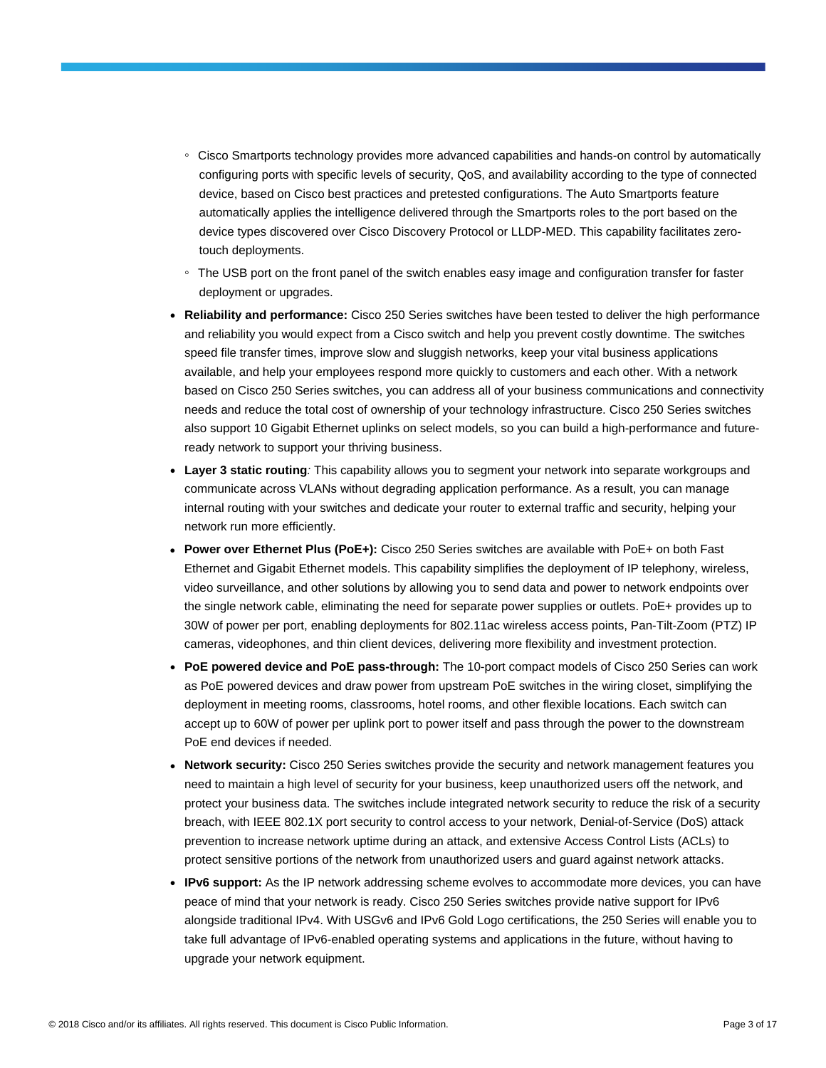- Cisco Smartports technology provides more advanced capabilities and hands-on control by automatically configuring ports with specific levels of security, QoS, and availability according to the type of connected device, based on Cisco best practices and pretested configurations. The Auto Smartports feature automatically applies the intelligence delivered through the Smartports roles to the port based on the device types discovered over Cisco Discovery Protocol or LLDP-MED. This capability facilitates zerotouch deployments.
- The USB port on the front panel of the switch enables easy image and configuration transfer for faster deployment or upgrades.
- **Reliability and performance:** Cisco 250 Series switches have been tested to deliver the high performance and reliability you would expect from a Cisco switch and help you prevent costly downtime. The switches speed file transfer times, improve slow and sluggish networks, keep your vital business applications available, and help your employees respond more quickly to customers and each other. With a network based on Cisco 250 Series switches, you can address all of your business communications and connectivity needs and reduce the total cost of ownership of your technology infrastructure. Cisco 250 Series switches also support 10 Gigabit Ethernet uplinks on select models, so you can build a high-performance and futureready network to support your thriving business.
- **Layer 3 static routing***:* This capability allows you to segment your network into separate workgroups and communicate across VLANs without degrading application performance. As a result, you can manage internal routing with your switches and dedicate your router to external traffic and security, helping your network run more efficiently.
- **Power over Ethernet Plus (PoE+):** Cisco 250 Series switches are available with PoE+ on both Fast Ethernet and Gigabit Ethernet models. This capability simplifies the deployment of IP telephony, wireless, video surveillance, and other solutions by allowing you to send data and power to network endpoints over the single network cable, eliminating the need for separate power supplies or outlets. PoE+ provides up to 30W of power per port, enabling deployments for 802.11ac wireless access points, Pan-Tilt-Zoom (PTZ) IP cameras, videophones, and thin client devices, delivering more flexibility and investment protection.
- **PoE powered device and PoE pass-through:** The 10-port compact models of Cisco 250 Series can work as PoE powered devices and draw power from upstream PoE switches in the wiring closet, simplifying the deployment in meeting rooms, classrooms, hotel rooms, and other flexible locations. Each switch can accept up to 60W of power per uplink port to power itself and pass through the power to the downstream PoE end devices if needed.
- **Network security:** Cisco 250 Series switches provide the security and network management features you need to maintain a high level of security for your business, keep unauthorized users off the network, and protect your business data. The switches include integrated network security to reduce the risk of a security breach, with IEEE 802.1X port security to control access to your network, Denial-of-Service (DoS) attack prevention to increase network uptime during an attack, and extensive Access Control Lists (ACLs) to protect sensitive portions of the network from unauthorized users and guard against network attacks.
- **IPv6 support:** As the IP network addressing scheme evolves to accommodate more devices, you can have peace of mind that your network is ready. Cisco 250 Series switches provide native support for IPv6 alongside traditional IPv4. With USGv6 and IPv6 Gold Logo certifications, the 250 Series will enable you to take full advantage of IPv6-enabled operating systems and applications in the future, without having to upgrade your network equipment.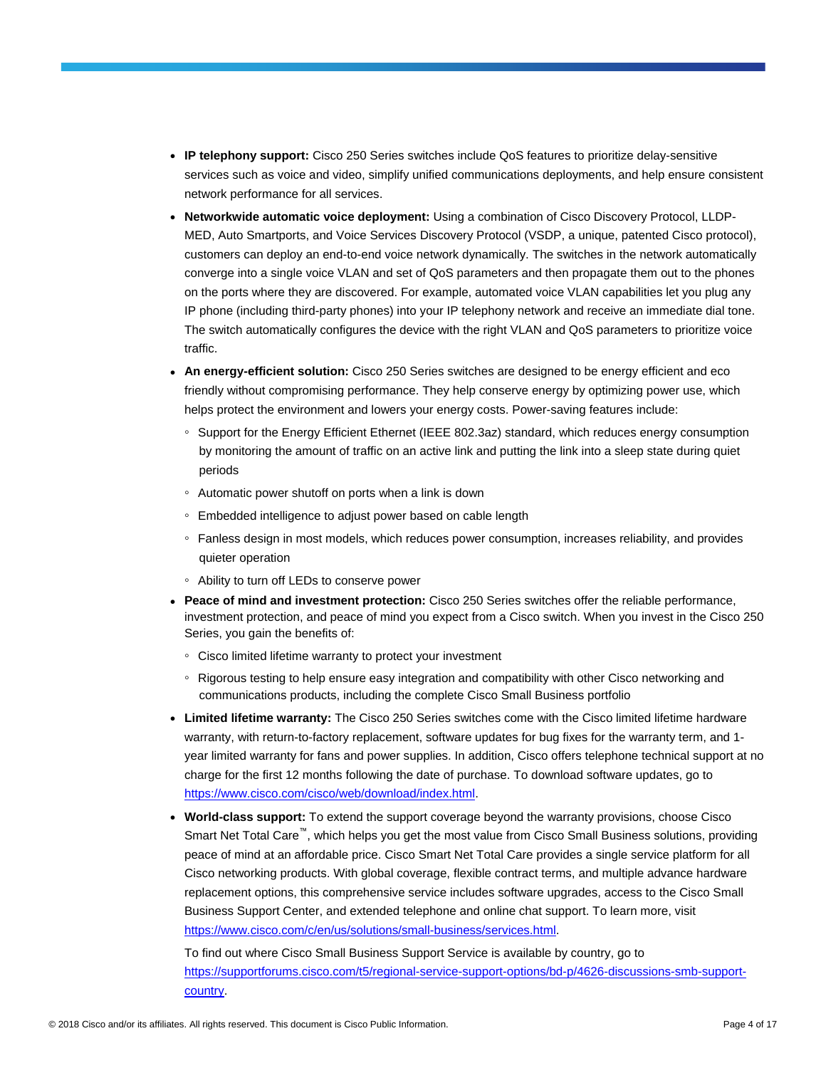- **IP telephony support:** Cisco 250 Series switches include QoS features to prioritize delay-sensitive services such as voice and video, simplify unified communications deployments, and help ensure consistent network performance for all services.
- **Networkwide automatic voice deployment:** Using a combination of Cisco Discovery Protocol, LLDP-MED, Auto Smartports, and Voice Services Discovery Protocol (VSDP, a unique, patented Cisco protocol), customers can deploy an end-to-end voice network dynamically. The switches in the network automatically converge into a single voice VLAN and set of QoS parameters and then propagate them out to the phones on the ports where they are discovered. For example, automated voice VLAN capabilities let you plug any IP phone (including third-party phones) into your IP telephony network and receive an immediate dial tone. The switch automatically configures the device with the right VLAN and QoS parameters to prioritize voice traffic.
- **An energy-efficient solution:** Cisco 250 Series switches are designed to be energy efficient and eco friendly without compromising performance. They help conserve energy by optimizing power use, which helps protect the environment and lowers your energy costs. Power-saving features include:
	- Support for the Energy Efficient Ethernet (IEEE 802.3az) standard, which reduces energy consumption by monitoring the amount of traffic on an active link and putting the link into a sleep state during quiet periods
	- Automatic power shutoff on ports when a link is down
	- Embedded intelligence to adjust power based on cable length
	- Fanless design in most models, which reduces power consumption, increases reliability, and provides quieter operation
	- Ability to turn off LEDs to conserve power
- **Peace of mind and investment protection:** Cisco 250 Series switches offer the reliable performance, investment protection, and peace of mind you expect from a Cisco switch. When you invest in the Cisco 250 Series, you gain the benefits of:
	- Cisco limited lifetime warranty to protect your investment
	- Rigorous testing to help ensure easy integration and compatibility with other Cisco networking and communications products, including the complete Cisco Small Business portfolio
- **Limited lifetime warranty:** The Cisco 250 Series switches come with the Cisco limited lifetime hardware warranty, with return-to-factory replacement, software updates for bug fixes for the warranty term, and 1 year limited warranty for fans and power supplies. In addition, Cisco offers telephone technical support at no charge for the first 12 months following the date of purchase. To download software updates, go to [https://www.cisco.com/cisco/web/download/index.html.](https://www.cisco.com/cisco/web/download/index.html)
- **World-class support:** To extend the support coverage beyond the warranty provisions, choose Cisco Smart Net Total Care™, which helps you get the most value from Cisco Small Business solutions, providing peace of mind at an affordable price. Cisco Smart Net Total Care provides a single service platform for all Cisco networking products. With global coverage, flexible contract terms, and multiple advance hardware replacement options, this comprehensive service includes software upgrades, access to the Cisco Small Business Support Center, and extended telephone and online chat support. To learn more, visit [https://www.cisco.com/c/en/us/solutions/small-business/services.html.](https://www.cisco.com/c/en/us/solutions/small-business/services.html)

To find out where Cisco Small Business Support Service is available by country, go to [https://supportforums.cisco.com/t5/regional-service-support-options/bd-p/4626-discussions-smb-support](https://supportforums.cisco.com/t5/regional-service-support-options/bd-p/4626-discussions-smb-support-country)[country.](https://supportforums.cisco.com/t5/regional-service-support-options/bd-p/4626-discussions-smb-support-country)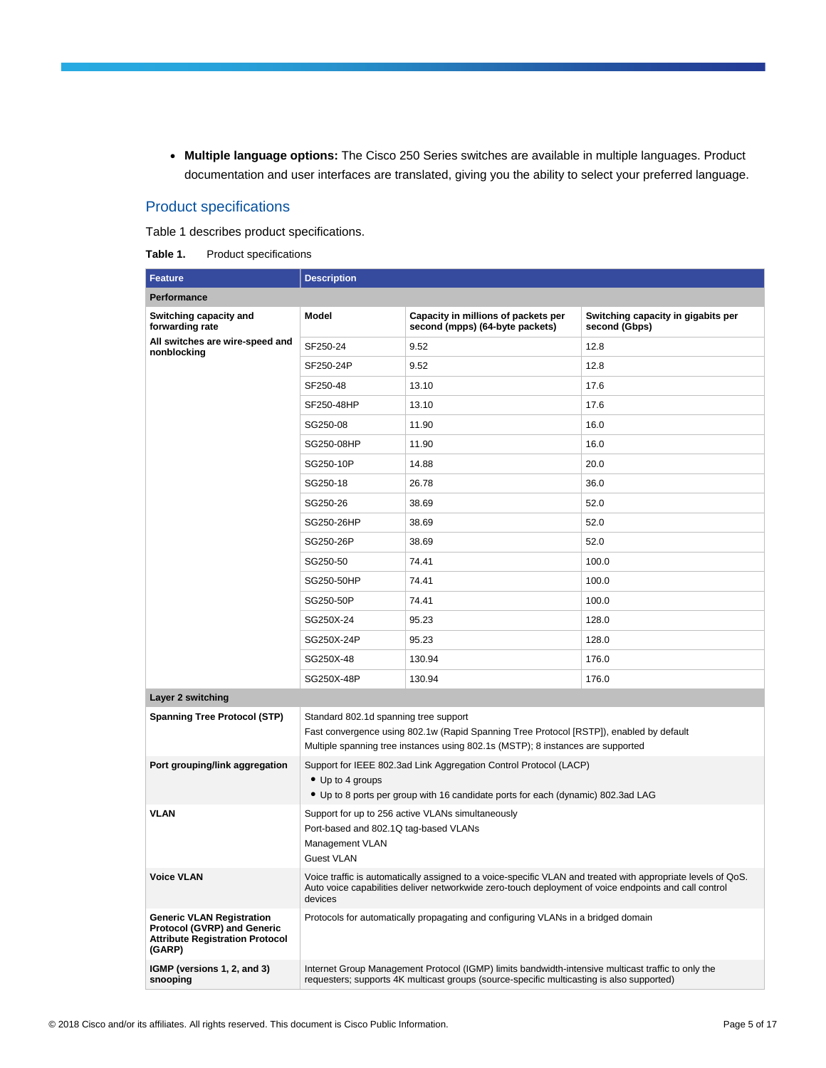● **Multiple language options:** The Cisco 250 Series switches are available in multiple languages. Product documentation and user interfaces are translated, giving you the ability to select your preferred language.

### Product specifications

Table 1 describes product specifications.

|  | Table 1. | Product specifications |
|--|----------|------------------------|
|--|----------|------------------------|

| <b>Feature</b>                                                                                                             | <b>Description</b>                                                                                                                                                                                                                                    |                                                                                                                                                                                                 |                                                     |  |  |  |
|----------------------------------------------------------------------------------------------------------------------------|-------------------------------------------------------------------------------------------------------------------------------------------------------------------------------------------------------------------------------------------------------|-------------------------------------------------------------------------------------------------------------------------------------------------------------------------------------------------|-----------------------------------------------------|--|--|--|
| Performance                                                                                                                |                                                                                                                                                                                                                                                       |                                                                                                                                                                                                 |                                                     |  |  |  |
| Switching capacity and<br>forwarding rate                                                                                  | <b>Model</b>                                                                                                                                                                                                                                          | Capacity in millions of packets per<br>second (mpps) (64-byte packets)                                                                                                                          | Switching capacity in gigabits per<br>second (Gbps) |  |  |  |
| All switches are wire-speed and<br>nonblocking                                                                             | SF250-24                                                                                                                                                                                                                                              | 9.52                                                                                                                                                                                            | 12.8                                                |  |  |  |
|                                                                                                                            | SF250-24P                                                                                                                                                                                                                                             | 9.52                                                                                                                                                                                            | 12.8                                                |  |  |  |
|                                                                                                                            | SF250-48                                                                                                                                                                                                                                              | 13.10                                                                                                                                                                                           | 17.6                                                |  |  |  |
|                                                                                                                            | SF250-48HP                                                                                                                                                                                                                                            | 13.10                                                                                                                                                                                           | 17.6                                                |  |  |  |
|                                                                                                                            | SG250-08                                                                                                                                                                                                                                              | 11.90                                                                                                                                                                                           | 16.0                                                |  |  |  |
|                                                                                                                            | SG250-08HP                                                                                                                                                                                                                                            | 11.90                                                                                                                                                                                           | 16.0                                                |  |  |  |
|                                                                                                                            | SG250-10P                                                                                                                                                                                                                                             | 14.88                                                                                                                                                                                           | 20.0                                                |  |  |  |
|                                                                                                                            | SG250-18                                                                                                                                                                                                                                              | 26.78                                                                                                                                                                                           | 36.0                                                |  |  |  |
|                                                                                                                            | SG250-26                                                                                                                                                                                                                                              | 38.69                                                                                                                                                                                           | 52.0                                                |  |  |  |
|                                                                                                                            | SG250-26HP                                                                                                                                                                                                                                            | 38.69                                                                                                                                                                                           | 52.0                                                |  |  |  |
|                                                                                                                            | SG250-26P                                                                                                                                                                                                                                             | 38.69                                                                                                                                                                                           | 52.0                                                |  |  |  |
|                                                                                                                            | SG250-50                                                                                                                                                                                                                                              | 100.0                                                                                                                                                                                           |                                                     |  |  |  |
|                                                                                                                            | SG250-50HP                                                                                                                                                                                                                                            | 74.41                                                                                                                                                                                           | 100.0                                               |  |  |  |
|                                                                                                                            | SG250-50P                                                                                                                                                                                                                                             | 74.41                                                                                                                                                                                           | 100.0                                               |  |  |  |
|                                                                                                                            | SG250X-24                                                                                                                                                                                                                                             | 95.23                                                                                                                                                                                           | 128.0                                               |  |  |  |
|                                                                                                                            | SG250X-24P                                                                                                                                                                                                                                            | 95.23                                                                                                                                                                                           | 128.0                                               |  |  |  |
|                                                                                                                            | SG250X-48                                                                                                                                                                                                                                             | 130.94                                                                                                                                                                                          | 176.0                                               |  |  |  |
|                                                                                                                            | SG250X-48P                                                                                                                                                                                                                                            | 130.94                                                                                                                                                                                          | 176.0                                               |  |  |  |
| Layer 2 switching                                                                                                          |                                                                                                                                                                                                                                                       |                                                                                                                                                                                                 |                                                     |  |  |  |
| <b>Spanning Tree Protocol (STP)</b>                                                                                        | Standard 802.1d spanning tree support<br>Fast convergence using 802.1w (Rapid Spanning Tree Protocol [RSTP]), enabled by default<br>Multiple spanning tree instances using 802.1s (MSTP); 8 instances are supported                                   |                                                                                                                                                                                                 |                                                     |  |  |  |
| Port grouping/link aggregation                                                                                             | Support for IEEE 802.3ad Link Aggregation Control Protocol (LACP)<br>• Up to 4 groups<br>• Up to 8 ports per group with 16 candidate ports for each (dynamic) 802.3ad LAG                                                                             |                                                                                                                                                                                                 |                                                     |  |  |  |
| <b>VLAN</b>                                                                                                                | Support for up to 256 active VLANs simultaneously<br>Port-based and 802.1Q tag-based VLANs<br>Management VLAN                                                                                                                                         |                                                                                                                                                                                                 |                                                     |  |  |  |
| <b>Voice VLAN</b>                                                                                                          | <b>Guest VLAN</b><br>Voice traffic is automatically assigned to a voice-specific VLAN and treated with appropriate levels of QoS.<br>Auto voice capabilities deliver networkwide zero-touch deployment of voice endpoints and call control<br>devices |                                                                                                                                                                                                 |                                                     |  |  |  |
| <b>Generic VLAN Registration</b><br><b>Protocol (GVRP) and Generic</b><br><b>Attribute Registration Protocol</b><br>(GARP) |                                                                                                                                                                                                                                                       | Protocols for automatically propagating and configuring VLANs in a bridged domain                                                                                                               |                                                     |  |  |  |
| IGMP (versions 1, 2, and 3)<br>snooping                                                                                    |                                                                                                                                                                                                                                                       | Internet Group Management Protocol (IGMP) limits bandwidth-intensive multicast traffic to only the<br>requesters; supports 4K multicast groups (source-specific multicasting is also supported) |                                                     |  |  |  |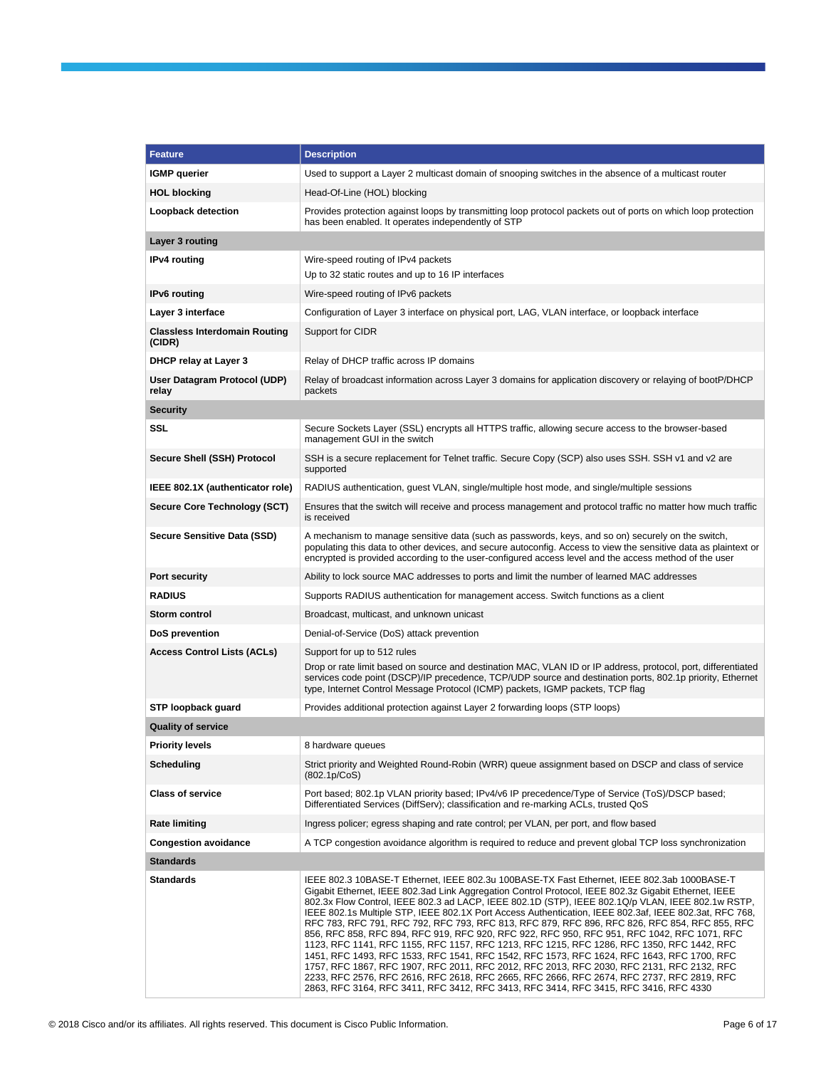| <b>Feature</b>                                 | <b>Description</b>                                                                                                                                                                                                                                                                                                                                                                                                                                                                                                                                                                                                                                                                                                                                                                                                                                                                                                                                                                                                                                                                             |  |  |
|------------------------------------------------|------------------------------------------------------------------------------------------------------------------------------------------------------------------------------------------------------------------------------------------------------------------------------------------------------------------------------------------------------------------------------------------------------------------------------------------------------------------------------------------------------------------------------------------------------------------------------------------------------------------------------------------------------------------------------------------------------------------------------------------------------------------------------------------------------------------------------------------------------------------------------------------------------------------------------------------------------------------------------------------------------------------------------------------------------------------------------------------------|--|--|
| <b>IGMP</b> querier                            | Used to support a Layer 2 multicast domain of snooping switches in the absence of a multicast router                                                                                                                                                                                                                                                                                                                                                                                                                                                                                                                                                                                                                                                                                                                                                                                                                                                                                                                                                                                           |  |  |
| <b>HOL blocking</b>                            | Head-Of-Line (HOL) blocking                                                                                                                                                                                                                                                                                                                                                                                                                                                                                                                                                                                                                                                                                                                                                                                                                                                                                                                                                                                                                                                                    |  |  |
| Loopback detection                             | Provides protection against loops by transmitting loop protocol packets out of ports on which loop protection<br>has been enabled. It operates independently of STP                                                                                                                                                                                                                                                                                                                                                                                                                                                                                                                                                                                                                                                                                                                                                                                                                                                                                                                            |  |  |
| Layer 3 routing                                |                                                                                                                                                                                                                                                                                                                                                                                                                                                                                                                                                                                                                                                                                                                                                                                                                                                                                                                                                                                                                                                                                                |  |  |
| <b>IPv4</b> routing                            | Wire-speed routing of IPv4 packets                                                                                                                                                                                                                                                                                                                                                                                                                                                                                                                                                                                                                                                                                                                                                                                                                                                                                                                                                                                                                                                             |  |  |
|                                                | Up to 32 static routes and up to 16 IP interfaces                                                                                                                                                                                                                                                                                                                                                                                                                                                                                                                                                                                                                                                                                                                                                                                                                                                                                                                                                                                                                                              |  |  |
| <b>IPv6</b> routing                            | Wire-speed routing of IPv6 packets                                                                                                                                                                                                                                                                                                                                                                                                                                                                                                                                                                                                                                                                                                                                                                                                                                                                                                                                                                                                                                                             |  |  |
| Layer 3 interface                              | Configuration of Layer 3 interface on physical port, LAG, VLAN interface, or loopback interface                                                                                                                                                                                                                                                                                                                                                                                                                                                                                                                                                                                                                                                                                                                                                                                                                                                                                                                                                                                                |  |  |
| <b>Classless Interdomain Routing</b><br>(CIDR) | Support for CIDR                                                                                                                                                                                                                                                                                                                                                                                                                                                                                                                                                                                                                                                                                                                                                                                                                                                                                                                                                                                                                                                                               |  |  |
| DHCP relay at Layer 3                          | Relay of DHCP traffic across IP domains                                                                                                                                                                                                                                                                                                                                                                                                                                                                                                                                                                                                                                                                                                                                                                                                                                                                                                                                                                                                                                                        |  |  |
| User Datagram Protocol (UDP)<br>relay          | Relay of broadcast information across Layer 3 domains for application discovery or relaying of bootP/DHCP<br>packets                                                                                                                                                                                                                                                                                                                                                                                                                                                                                                                                                                                                                                                                                                                                                                                                                                                                                                                                                                           |  |  |
| <b>Security</b>                                |                                                                                                                                                                                                                                                                                                                                                                                                                                                                                                                                                                                                                                                                                                                                                                                                                                                                                                                                                                                                                                                                                                |  |  |
| SSL                                            | Secure Sockets Layer (SSL) encrypts all HTTPS traffic, allowing secure access to the browser-based<br>management GUI in the switch                                                                                                                                                                                                                                                                                                                                                                                                                                                                                                                                                                                                                                                                                                                                                                                                                                                                                                                                                             |  |  |
| Secure Shell (SSH) Protocol                    | SSH is a secure replacement for Telnet traffic. Secure Copy (SCP) also uses SSH. SSH v1 and v2 are<br>supported                                                                                                                                                                                                                                                                                                                                                                                                                                                                                                                                                                                                                                                                                                                                                                                                                                                                                                                                                                                |  |  |
| IEEE 802.1X (authenticator role)               | RADIUS authentication, guest VLAN, single/multiple host mode, and single/multiple sessions                                                                                                                                                                                                                                                                                                                                                                                                                                                                                                                                                                                                                                                                                                                                                                                                                                                                                                                                                                                                     |  |  |
| Secure Core Technology (SCT)                   | Ensures that the switch will receive and process management and protocol traffic no matter how much traffic<br>is received                                                                                                                                                                                                                                                                                                                                                                                                                                                                                                                                                                                                                                                                                                                                                                                                                                                                                                                                                                     |  |  |
| <b>Secure Sensitive Data (SSD)</b>             | A mechanism to manage sensitive data (such as passwords, keys, and so on) securely on the switch,<br>populating this data to other devices, and secure autoconfig. Access to view the sensitive data as plaintext or<br>encrypted is provided according to the user-configured access level and the access method of the user                                                                                                                                                                                                                                                                                                                                                                                                                                                                                                                                                                                                                                                                                                                                                                  |  |  |
| Port security                                  | Ability to lock source MAC addresses to ports and limit the number of learned MAC addresses                                                                                                                                                                                                                                                                                                                                                                                                                                                                                                                                                                                                                                                                                                                                                                                                                                                                                                                                                                                                    |  |  |
| <b>RADIUS</b>                                  | Supports RADIUS authentication for management access. Switch functions as a client                                                                                                                                                                                                                                                                                                                                                                                                                                                                                                                                                                                                                                                                                                                                                                                                                                                                                                                                                                                                             |  |  |
| Storm control                                  | Broadcast, multicast, and unknown unicast                                                                                                                                                                                                                                                                                                                                                                                                                                                                                                                                                                                                                                                                                                                                                                                                                                                                                                                                                                                                                                                      |  |  |
| DoS prevention                                 | Denial-of-Service (DoS) attack prevention                                                                                                                                                                                                                                                                                                                                                                                                                                                                                                                                                                                                                                                                                                                                                                                                                                                                                                                                                                                                                                                      |  |  |
| <b>Access Control Lists (ACLs)</b>             | Support for up to 512 rules<br>Drop or rate limit based on source and destination MAC, VLAN ID or IP address, protocol, port, differentiated<br>services code point (DSCP)/IP precedence, TCP/UDP source and destination ports, 802.1p priority, Ethernet<br>type, Internet Control Message Protocol (ICMP) packets, IGMP packets, TCP flag                                                                                                                                                                                                                                                                                                                                                                                                                                                                                                                                                                                                                                                                                                                                                    |  |  |
| STP loopback guard                             | Provides additional protection against Layer 2 forwarding loops (STP loops)                                                                                                                                                                                                                                                                                                                                                                                                                                                                                                                                                                                                                                                                                                                                                                                                                                                                                                                                                                                                                    |  |  |
| <b>Quality of service</b>                      |                                                                                                                                                                                                                                                                                                                                                                                                                                                                                                                                                                                                                                                                                                                                                                                                                                                                                                                                                                                                                                                                                                |  |  |
| <b>Priority levels</b>                         | 8 hardware queues                                                                                                                                                                                                                                                                                                                                                                                                                                                                                                                                                                                                                                                                                                                                                                                                                                                                                                                                                                                                                                                                              |  |  |
| Scheduling                                     | Strict priority and Weighted Round-Robin (WRR) queue assignment based on DSCP and class of service<br>(802.1p/C <sub>0</sub> S)                                                                                                                                                                                                                                                                                                                                                                                                                                                                                                                                                                                                                                                                                                                                                                                                                                                                                                                                                                |  |  |
| <b>Class of service</b>                        | Port based; 802.1p VLAN priority based; IPv4/v6 IP precedence/Type of Service (ToS)/DSCP based;<br>Differentiated Services (DiffServ); classification and re-marking ACLs, trusted QoS                                                                                                                                                                                                                                                                                                                                                                                                                                                                                                                                                                                                                                                                                                                                                                                                                                                                                                         |  |  |
| <b>Rate limiting</b>                           | Ingress policer; egress shaping and rate control; per VLAN, per port, and flow based                                                                                                                                                                                                                                                                                                                                                                                                                                                                                                                                                                                                                                                                                                                                                                                                                                                                                                                                                                                                           |  |  |
| <b>Congestion avoidance</b>                    | A TCP congestion avoidance algorithm is required to reduce and prevent global TCP loss synchronization                                                                                                                                                                                                                                                                                                                                                                                                                                                                                                                                                                                                                                                                                                                                                                                                                                                                                                                                                                                         |  |  |
| <b>Standards</b>                               |                                                                                                                                                                                                                                                                                                                                                                                                                                                                                                                                                                                                                                                                                                                                                                                                                                                                                                                                                                                                                                                                                                |  |  |
| <b>Standards</b>                               | IEEE 802.3 10BASE-T Ethernet, IEEE 802.3u 100BASE-TX Fast Ethernet, IEEE 802.3ab 1000BASE-T<br>Gigabit Ethernet, IEEE 802.3ad Link Aggregation Control Protocol, IEEE 802.3z Gigabit Ethernet, IEEE<br>802.3x Flow Control, IEEE 802.3 ad LACP, IEEE 802.1D (STP), IEEE 802.1Q/p VLAN, IEEE 802.1w RSTP,<br>IEEE 802.1s Multiple STP, IEEE 802.1X Port Access Authentication, IEEE 802.3af, IEEE 802.3at, RFC 768,<br>RFC 783, RFC 791, RFC 792, RFC 793, RFC 813, RFC 879, RFC 896, RFC 826, RFC 854, RFC 855, RFC<br>856, RFC 858, RFC 894, RFC 919, RFC 920, RFC 922, RFC 950, RFC 951, RFC 1042, RFC 1071, RFC<br>1123, RFC 1141, RFC 1155, RFC 1157, RFC 1213, RFC 1215, RFC 1286, RFC 1350, RFC 1442, RFC<br>1451, RFC 1493, RFC 1533, RFC 1541, RFC 1542, RFC 1573, RFC 1624, RFC 1643, RFC 1700, RFC<br>1757, RFC 1867, RFC 1907, RFC 2011, RFC 2012, RFC 2013, RFC 2030, RFC 2131, RFC 2132, RFC<br>2233, RFC 2576, RFC 2616, RFC 2618, RFC 2665, RFC 2666, RFC 2674, RFC 2737, RFC 2819, RFC<br>2863, RFC 3164, RFC 3411, RFC 3412, RFC 3413, RFC 3414, RFC 3415, RFC 3416, RFC 4330 |  |  |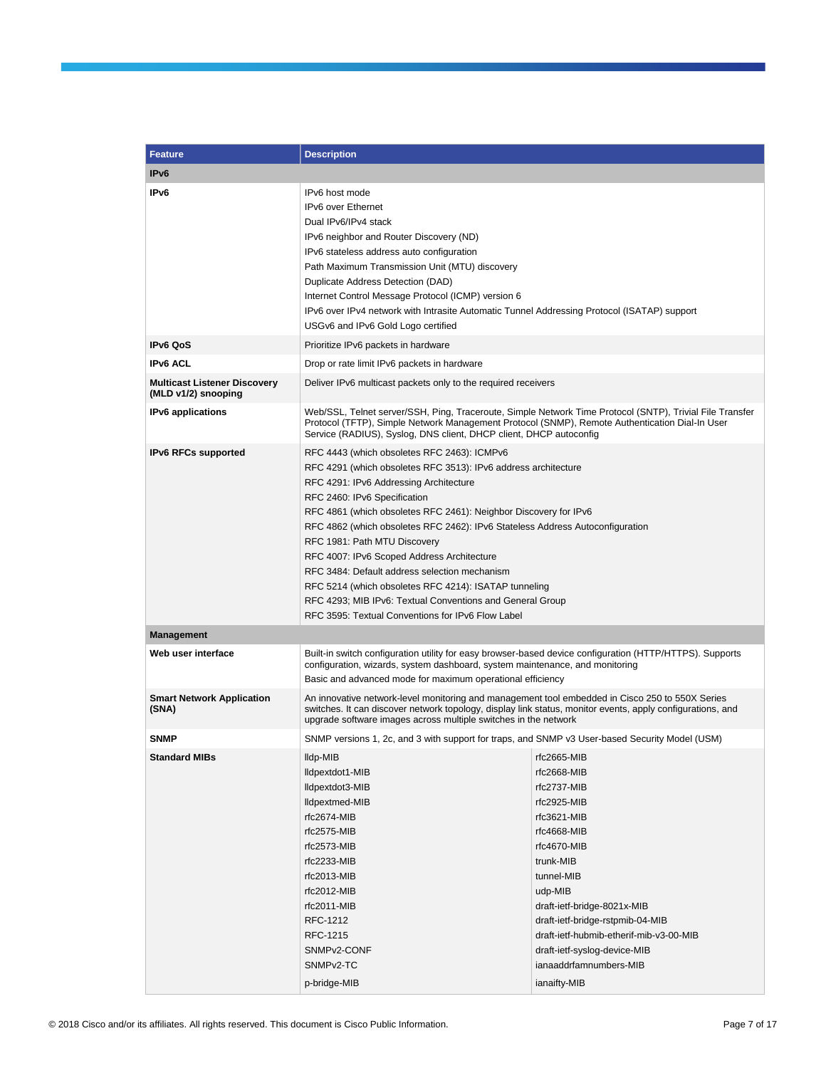| <b>Feature</b>                                             | <b>Description</b>                                                                                                                                                                                                                                                                                                                                                                                                                                                                                                                                                                                                                                     |                                                                                                                                                                                                                                                                                                                                     |  |  |  |
|------------------------------------------------------------|--------------------------------------------------------------------------------------------------------------------------------------------------------------------------------------------------------------------------------------------------------------------------------------------------------------------------------------------------------------------------------------------------------------------------------------------------------------------------------------------------------------------------------------------------------------------------------------------------------------------------------------------------------|-------------------------------------------------------------------------------------------------------------------------------------------------------------------------------------------------------------------------------------------------------------------------------------------------------------------------------------|--|--|--|
| IP <sub>v6</sub>                                           |                                                                                                                                                                                                                                                                                                                                                                                                                                                                                                                                                                                                                                                        |                                                                                                                                                                                                                                                                                                                                     |  |  |  |
| IP <sub>v6</sub>                                           | IPv6 host mode<br>IPv6 over Ethernet<br>Dual IPv6/IPv4 stack<br>IPv6 neighbor and Router Discovery (ND)<br>IPv6 stateless address auto configuration<br>Path Maximum Transmission Unit (MTU) discovery<br>Duplicate Address Detection (DAD)<br>Internet Control Message Protocol (ICMP) version 6<br>IPv6 over IPv4 network with Intrasite Automatic Tunnel Addressing Protocol (ISATAP) support<br>USGv6 and IPv6 Gold Logo certified                                                                                                                                                                                                                 |                                                                                                                                                                                                                                                                                                                                     |  |  |  |
| <b>IPv6 QoS</b>                                            | Prioritize IPv6 packets in hardware                                                                                                                                                                                                                                                                                                                                                                                                                                                                                                                                                                                                                    |                                                                                                                                                                                                                                                                                                                                     |  |  |  |
| <b>IPv6 ACL</b>                                            | Drop or rate limit IPv6 packets in hardware                                                                                                                                                                                                                                                                                                                                                                                                                                                                                                                                                                                                            |                                                                                                                                                                                                                                                                                                                                     |  |  |  |
| <b>Multicast Listener Discovery</b><br>(MLD v1/2) snooping | Deliver IPv6 multicast packets only to the required receivers                                                                                                                                                                                                                                                                                                                                                                                                                                                                                                                                                                                          |                                                                                                                                                                                                                                                                                                                                     |  |  |  |
| <b>IPv6</b> applications                                   | Protocol (TFTP), Simple Network Management Protocol (SNMP), Remote Authentication Dial-In User<br>Service (RADIUS), Syslog, DNS client, DHCP client, DHCP autoconfig                                                                                                                                                                                                                                                                                                                                                                                                                                                                                   | Web/SSL, Telnet server/SSH, Ping, Traceroute, Simple Network Time Protocol (SNTP), Trivial File Transfer                                                                                                                                                                                                                            |  |  |  |
| <b>IPv6 RFCs supported</b>                                 | RFC 4443 (which obsoletes RFC 2463): ICMPv6<br>RFC 4291 (which obsoletes RFC 3513): IPv6 address architecture<br>RFC 4291: IPv6 Addressing Architecture<br>RFC 2460: IPv6 Specification<br>RFC 4861 (which obsoletes RFC 2461): Neighbor Discovery for IPv6<br>RFC 4862 (which obsoletes RFC 2462): IPv6 Stateless Address Autoconfiguration<br>RFC 1981: Path MTU Discovery<br>RFC 4007: IPv6 Scoped Address Architecture<br>RFC 3484: Default address selection mechanism<br>RFC 5214 (which obsoletes RFC 4214): ISATAP tunneling<br>RFC 4293; MIB IPv6: Textual Conventions and General Group<br>RFC 3595: Textual Conventions for IPv6 Flow Label |                                                                                                                                                                                                                                                                                                                                     |  |  |  |
| <b>Management</b>                                          |                                                                                                                                                                                                                                                                                                                                                                                                                                                                                                                                                                                                                                                        |                                                                                                                                                                                                                                                                                                                                     |  |  |  |
| Web user interface                                         | Built-in switch configuration utility for easy browser-based device configuration (HTTP/HTTPS). Supports<br>configuration, wizards, system dashboard, system maintenance, and monitoring<br>Basic and advanced mode for maximum operational efficiency                                                                                                                                                                                                                                                                                                                                                                                                 |                                                                                                                                                                                                                                                                                                                                     |  |  |  |
| <b>Smart Network Application</b><br>(SNA)                  | An innovative network-level monitoring and management tool embedded in Cisco 250 to 550X Series<br>switches. It can discover network topology, display link status, monitor events, apply configurations, and<br>upgrade software images across multiple switches in the network                                                                                                                                                                                                                                                                                                                                                                       |                                                                                                                                                                                                                                                                                                                                     |  |  |  |
| <b>SNMP</b>                                                | SNMP versions 1, 2c, and 3 with support for traps, and SNMP v3 User-based Security Model (USM)                                                                                                                                                                                                                                                                                                                                                                                                                                                                                                                                                         |                                                                                                                                                                                                                                                                                                                                     |  |  |  |
| <b>Standard MIBs</b>                                       | lldp-MIB<br>Ildpextdot1-MIB<br>lldpextdot3-MIB<br>Ildpextmed-MIB<br>rfc2674-MIB<br>rfc2575-MIB<br>rfc2573-MIB<br>$rfc2233-MIB$<br>rfc2013-MIB<br>rfc2012-MIB<br>rfc2011-MIB<br>RFC-1212<br>RFC-1215<br>SNMP <sub>v2</sub> -CONF<br>SNMP <sub>v2</sub> -TC<br>p-bridge-MIB                                                                                                                                                                                                                                                                                                                                                                              | rfc2665-MIB<br>rfc2668-MIB<br>rfc2737-MIB<br>rfc2925-MIB<br>rfc3621-MIB<br>rfc4668-MIB<br>rfc4670-MIB<br>trunk-MIB<br>tunnel-MIB<br>udp-MIB<br>draft-ietf-bridge-8021x-MIB<br>draft-ietf-bridge-rstpmib-04-MIB<br>draft-ietf-hubmib-etherif-mib-v3-00-MIB<br>draft-ietf-syslog-device-MIB<br>ianaaddrfamnumbers-MIB<br>ianaifty-MIB |  |  |  |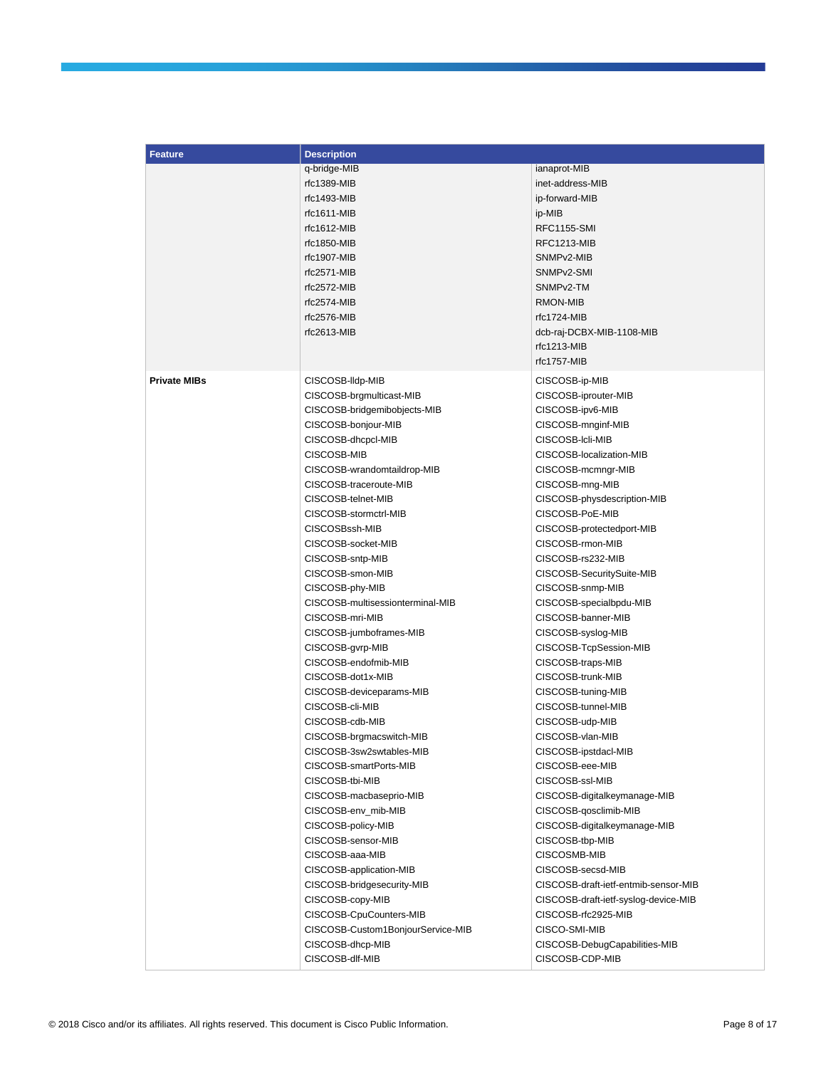| <b>Feature</b>      | <b>Description</b>                |                                      |  |  |  |
|---------------------|-----------------------------------|--------------------------------------|--|--|--|
|                     | q-bridge-MIB                      | ianaprot-MIB                         |  |  |  |
|                     | rfc1389-MIB                       | inet-address-MIB                     |  |  |  |
|                     | rfc1493-MIB                       | ip-forward-MIB                       |  |  |  |
|                     | $rfc1611-MIB$                     | ip-MIB                               |  |  |  |
|                     | $rfc1612-MIB$                     | RFC1155-SMI                          |  |  |  |
|                     | rfc1850-MIB                       | RFC1213-MIB                          |  |  |  |
|                     | rfc1907-MIB                       | SNMPv2-MIB                           |  |  |  |
|                     | rfc2571-MIB                       | SNMPv2-SMI                           |  |  |  |
|                     | $rfc2572-MIB$                     | SNMP <sub>v2</sub> -TM               |  |  |  |
|                     | $rfc2574-MIB$                     | RMON-MIB                             |  |  |  |
|                     | rfc2576-MIB                       | rfc1724-MIB                          |  |  |  |
|                     | $rfc2613-MIB$                     | dcb-raj-DCBX-MIB-1108-MIB            |  |  |  |
|                     |                                   | rfc1213-MIB                          |  |  |  |
|                     |                                   | rfc1757-MIB                          |  |  |  |
|                     |                                   |                                      |  |  |  |
| <b>Private MIBs</b> | CISCOSB-Ildp-MIB                  | CISCOSB-ip-MIB                       |  |  |  |
|                     | CISCOSB-brgmulticast-MIB          | CISCOSB-iprouter-MIB                 |  |  |  |
|                     | CISCOSB-bridgemibobjects-MIB      | CISCOSB-ipv6-MIB                     |  |  |  |
|                     | CISCOSB-bonjour-MIB               | CISCOSB-mnginf-MIB                   |  |  |  |
|                     | CISCOSB-dhcpcl-MIB                | CISCOSB-Icli-MIB                     |  |  |  |
|                     | CISCOSB-MIB                       | CISCOSB-localization-MIB             |  |  |  |
|                     | CISCOSB-wrandomtaildrop-MIB       | CISCOSB-mcmngr-MIB                   |  |  |  |
|                     | CISCOSB-traceroute-MIB            | CISCOSB-mng-MIB                      |  |  |  |
|                     | CISCOSB-telnet-MIB                | CISCOSB-physdescription-MIB          |  |  |  |
|                     | CISCOSB-stormctrl-MIB             | CISCOSB-PoE-MIB                      |  |  |  |
|                     | CISCOSBssh-MIB                    | CISCOSB-protectedport-MIB            |  |  |  |
|                     | CISCOSB-socket-MIB                | CISCOSB-rmon-MIB                     |  |  |  |
|                     | CISCOSB-sntp-MIB                  | CISCOSB-rs232-MIB                    |  |  |  |
|                     | CISCOSB-smon-MIB                  | CISCOSB-SecuritySuite-MIB            |  |  |  |
|                     | CISCOSB-phy-MIB                   | CISCOSB-snmp-MIB                     |  |  |  |
|                     | CISCOSB-multisessionterminal-MIB  | CISCOSB-specialbpdu-MIB              |  |  |  |
|                     | CISCOSB-mri-MIB                   | CISCOSB-banner-MIB                   |  |  |  |
|                     | CISCOSB-jumboframes-MIB           | CISCOSB-syslog-MIB                   |  |  |  |
|                     | CISCOSB-gvrp-MIB                  | CISCOSB-TcpSession-MIB               |  |  |  |
|                     | CISCOSB-endofmib-MIB              | CISCOSB-traps-MIB                    |  |  |  |
|                     | CISCOSB-dot1x-MIB                 | CISCOSB-trunk-MIB                    |  |  |  |
|                     | CISCOSB-deviceparams-MIB          | CISCOSB-tuning-MIB                   |  |  |  |
|                     | CISCOSB-cli-MIB                   | CISCOSB-tunnel-MIB                   |  |  |  |
|                     | CISCOSB-cdb-MIB                   | CISCOSB-udp-MIB                      |  |  |  |
|                     | CISCOSB-brgmacswitch-MIB          | CISCOSB-vlan-MIB                     |  |  |  |
|                     | CISCOSB-3sw2swtables-MIB          | CISCOSB-ipstdacl-MIB                 |  |  |  |
|                     | CISCOSB-smartPorts-MIB            | CISCOSB-eee-MIB                      |  |  |  |
|                     | CISCOSB-tbi-MIB                   | CISCOSB-ssl-MIB                      |  |  |  |
|                     | CISCOSB-macbaseprio-MIB           | CISCOSB-digitalkeymanage-MIB         |  |  |  |
|                     | CISCOSB-env_mib-MIB               | CISCOSB-qosclimib-MIB                |  |  |  |
|                     | CISCOSB-policy-MIB                | CISCOSB-digitalkeymanage-MIB         |  |  |  |
|                     | CISCOSB-sensor-MIB                | CISCOSB-tbp-MIB                      |  |  |  |
|                     | CISCOSB-aaa-MIB                   | CISCOSMB-MIB                         |  |  |  |
|                     | CISCOSB-application-MIB           | CISCOSB-secsd-MIB                    |  |  |  |
|                     | CISCOSB-bridgesecurity-MIB        | CISCOSB-draft-ietf-entmib-sensor-MIB |  |  |  |
|                     | CISCOSB-copy-MIB                  | CISCOSB-draft-ietf-syslog-device-MIB |  |  |  |
|                     | CISCOSB-CpuCounters-MIB           | CISCOSB-rfc2925-MIB                  |  |  |  |
|                     | CISCOSB-Custom1BonjourService-MIB | CISCO-SMI-MIB                        |  |  |  |
|                     | CISCOSB-dhcp-MIB                  | CISCOSB-DebugCapabilities-MIB        |  |  |  |
|                     | CISCOSB-dlf-MIB                   | CISCOSB-CDP-MIB                      |  |  |  |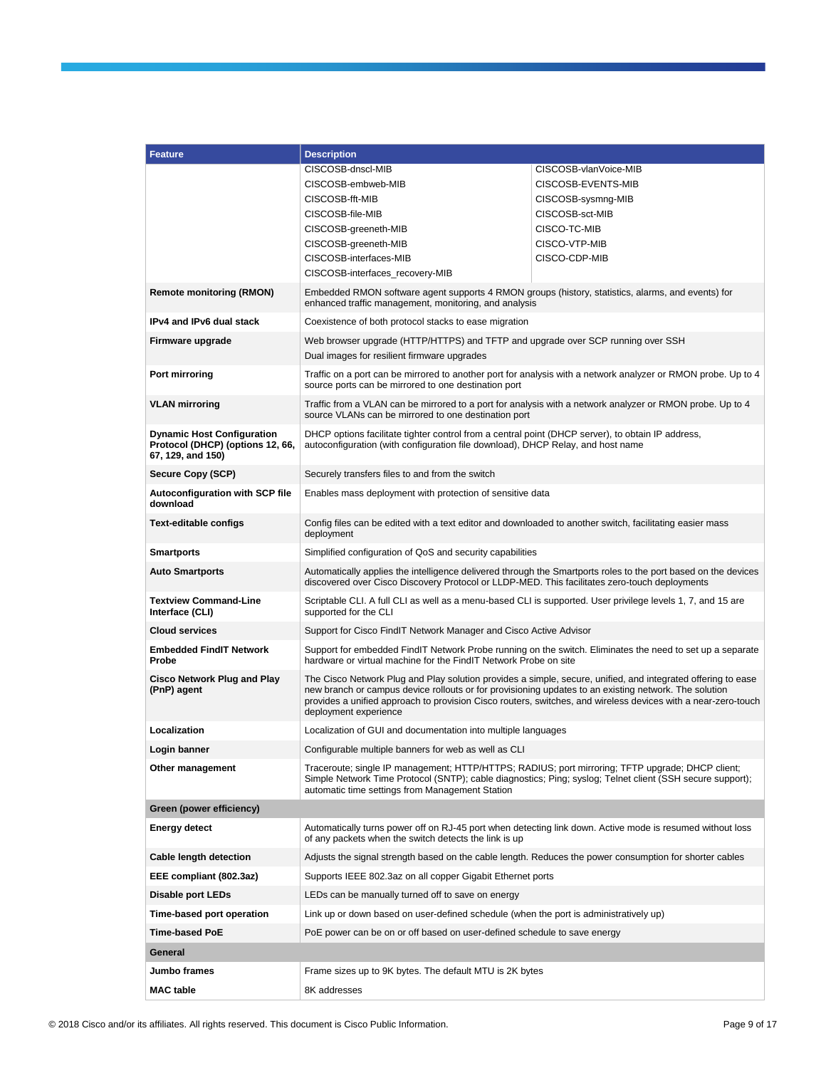| <b>Feature</b>                                                                             | <b>Description</b>                                                                                                                                                                                                                                                                                                                                              |                                                                                                               |  |  |  |
|--------------------------------------------------------------------------------------------|-----------------------------------------------------------------------------------------------------------------------------------------------------------------------------------------------------------------------------------------------------------------------------------------------------------------------------------------------------------------|---------------------------------------------------------------------------------------------------------------|--|--|--|
|                                                                                            | CISCOSB-dnscl-MIB                                                                                                                                                                                                                                                                                                                                               | CISCOSB-vlanVoice-MIB                                                                                         |  |  |  |
|                                                                                            | CISCOSB-embweb-MIB                                                                                                                                                                                                                                                                                                                                              | CISCOSB-EVENTS-MIB                                                                                            |  |  |  |
|                                                                                            | CISCOSB-fft-MIB                                                                                                                                                                                                                                                                                                                                                 | CISCOSB-sysmng-MIB                                                                                            |  |  |  |
|                                                                                            | CISCOSB-file-MIB                                                                                                                                                                                                                                                                                                                                                | CISCOSB-sct-MIB                                                                                               |  |  |  |
|                                                                                            | CISCOSB-greeneth-MIB                                                                                                                                                                                                                                                                                                                                            | CISCO-TC-MIB                                                                                                  |  |  |  |
|                                                                                            | CISCOSB-greeneth-MIB<br>CISCOSB-interfaces-MIB                                                                                                                                                                                                                                                                                                                  | CISCO-VTP-MIB<br>CISCO-CDP-MIB                                                                                |  |  |  |
|                                                                                            | CISCOSB-interfaces_recovery-MIB                                                                                                                                                                                                                                                                                                                                 |                                                                                                               |  |  |  |
| <b>Remote monitoring (RMON)</b>                                                            | Embedded RMON software agent supports 4 RMON groups (history, statistics, alarms, and events) for<br>enhanced traffic management, monitoring, and analysis                                                                                                                                                                                                      |                                                                                                               |  |  |  |
| IPv4 and IPv6 dual stack                                                                   | Coexistence of both protocol stacks to ease migration                                                                                                                                                                                                                                                                                                           |                                                                                                               |  |  |  |
| Firmware upgrade                                                                           | Web browser upgrade (HTTP/HTTPS) and TFTP and upgrade over SCP running over SSH<br>Dual images for resilient firmware upgrades                                                                                                                                                                                                                                  |                                                                                                               |  |  |  |
| Port mirroring                                                                             | source ports can be mirrored to one destination port                                                                                                                                                                                                                                                                                                            | Traffic on a port can be mirrored to another port for analysis with a network analyzer or RMON probe. Up to 4 |  |  |  |
| <b>VLAN mirroring</b>                                                                      | Traffic from a VLAN can be mirrored to a port for analysis with a network analyzer or RMON probe. Up to 4<br>source VLANs can be mirrored to one destination port                                                                                                                                                                                               |                                                                                                               |  |  |  |
| <b>Dynamic Host Configuration</b><br>Protocol (DHCP) (options 12, 66,<br>67, 129, and 150) | DHCP options facilitate tighter control from a central point (DHCP server), to obtain IP address,<br>autoconfiguration (with configuration file download), DHCP Relay, and host name                                                                                                                                                                            |                                                                                                               |  |  |  |
| Secure Copy (SCP)                                                                          | Securely transfers files to and from the switch                                                                                                                                                                                                                                                                                                                 |                                                                                                               |  |  |  |
| <b>Autoconfiguration with SCP file</b><br>download                                         | Enables mass deployment with protection of sensitive data                                                                                                                                                                                                                                                                                                       |                                                                                                               |  |  |  |
| <b>Text-editable configs</b>                                                               | Config files can be edited with a text editor and downloaded to another switch, facilitating easier mass<br>deployment                                                                                                                                                                                                                                          |                                                                                                               |  |  |  |
| <b>Smartports</b>                                                                          | Simplified configuration of QoS and security capabilities                                                                                                                                                                                                                                                                                                       |                                                                                                               |  |  |  |
| <b>Auto Smartports</b>                                                                     | Automatically applies the intelligence delivered through the Smartports roles to the port based on the devices<br>discovered over Cisco Discovery Protocol or LLDP-MED. This facilitates zero-touch deployments                                                                                                                                                 |                                                                                                               |  |  |  |
| <b>Textview Command-Line</b><br>Interface (CLI)                                            | Scriptable CLI. A full CLI as well as a menu-based CLI is supported. User privilege levels 1, 7, and 15 are<br>supported for the CLI                                                                                                                                                                                                                            |                                                                                                               |  |  |  |
| <b>Cloud services</b>                                                                      | Support for Cisco FindIT Network Manager and Cisco Active Advisor                                                                                                                                                                                                                                                                                               |                                                                                                               |  |  |  |
| <b>Embedded FindIT Network</b><br>Probe                                                    | Support for embedded FindIT Network Probe running on the switch. Eliminates the need to set up a separate<br>hardware or virtual machine for the FindIT Network Probe on site                                                                                                                                                                                   |                                                                                                               |  |  |  |
| <b>Cisco Network Plug and Play</b><br>(PnP) agent                                          | The Cisco Network Plug and Play solution provides a simple, secure, unified, and integrated offering to ease<br>new branch or campus device rollouts or for provisioning updates to an existing network. The solution<br>provides a unified approach to provision Cisco routers, switches, and wireless devices with a near-zero-touch<br>deployment experience |                                                                                                               |  |  |  |
| Localization                                                                               | Localization of GUI and documentation into multiple languages                                                                                                                                                                                                                                                                                                   |                                                                                                               |  |  |  |
| Login banner                                                                               | Configurable multiple banners for web as well as CLI                                                                                                                                                                                                                                                                                                            |                                                                                                               |  |  |  |
| Other management                                                                           | Traceroute; single IP management; HTTP/HTTPS; RADIUS; port mirroring; TFTP upgrade; DHCP client;<br>Simple Network Time Protocol (SNTP); cable diagnostics; Ping; syslog; Telnet client (SSH secure support);<br>automatic time settings from Management Station                                                                                                |                                                                                                               |  |  |  |
| Green (power efficiency)                                                                   |                                                                                                                                                                                                                                                                                                                                                                 |                                                                                                               |  |  |  |
| <b>Energy detect</b>                                                                       | Automatically turns power off on RJ-45 port when detecting link down. Active mode is resumed without loss<br>of any packets when the switch detects the link is up                                                                                                                                                                                              |                                                                                                               |  |  |  |
| <b>Cable length detection</b>                                                              | Adjusts the signal strength based on the cable length. Reduces the power consumption for shorter cables                                                                                                                                                                                                                                                         |                                                                                                               |  |  |  |
| EEE compliant (802.3az)                                                                    | Supports IEEE 802.3az on all copper Gigabit Ethernet ports                                                                                                                                                                                                                                                                                                      |                                                                                                               |  |  |  |
| Disable port LEDs                                                                          | LEDs can be manually turned off to save on energy                                                                                                                                                                                                                                                                                                               |                                                                                                               |  |  |  |
| Time-based port operation                                                                  | Link up or down based on user-defined schedule (when the port is administratively up)                                                                                                                                                                                                                                                                           |                                                                                                               |  |  |  |
| <b>Time-based PoE</b>                                                                      | PoE power can be on or off based on user-defined schedule to save energy                                                                                                                                                                                                                                                                                        |                                                                                                               |  |  |  |
|                                                                                            |                                                                                                                                                                                                                                                                                                                                                                 |                                                                                                               |  |  |  |
| General                                                                                    |                                                                                                                                                                                                                                                                                                                                                                 |                                                                                                               |  |  |  |
| Jumbo frames                                                                               | Frame sizes up to 9K bytes. The default MTU is 2K bytes                                                                                                                                                                                                                                                                                                         |                                                                                                               |  |  |  |
| <b>MAC</b> table                                                                           | 8K addresses                                                                                                                                                                                                                                                                                                                                                    |                                                                                                               |  |  |  |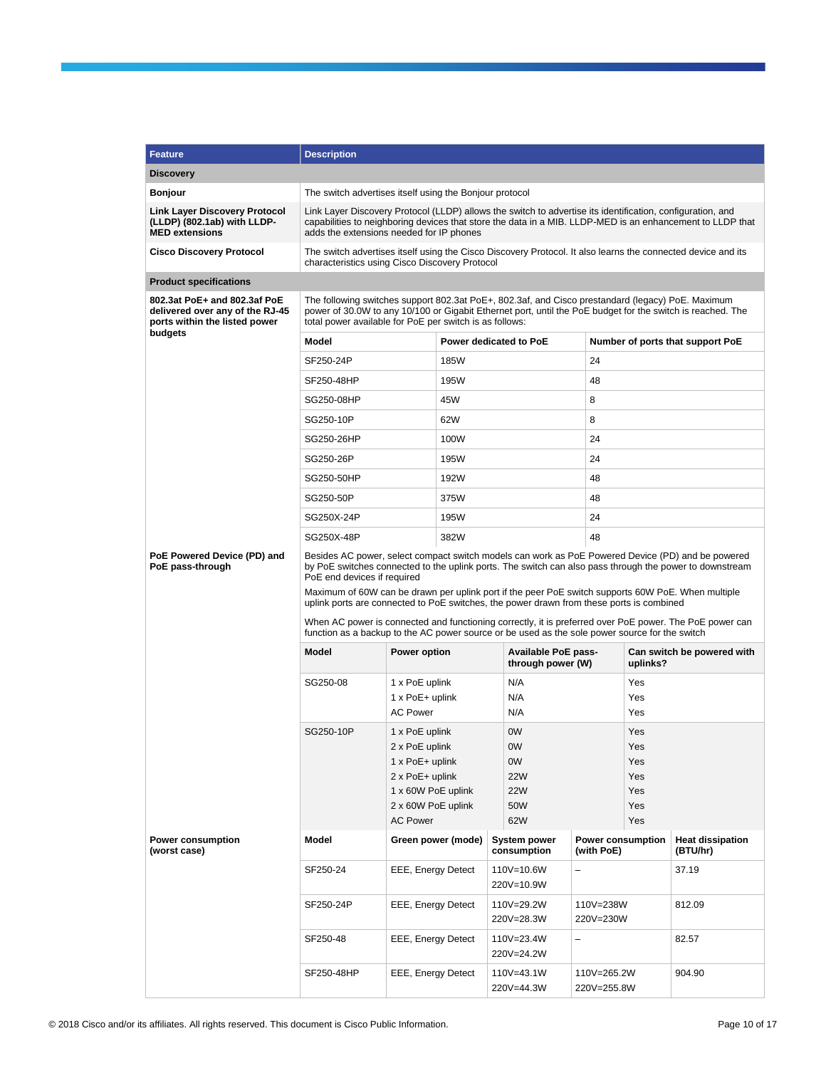| <b>Feature</b>                                                                                   | <b>Description</b>                                                                                                                                                                                                                                                                                                                                                                                                                                                                                                                                                                                                                                         |                                                                                                                                                                                                                                                                     |                        |  |                                                 |                                 |                                        |                                     |
|--------------------------------------------------------------------------------------------------|------------------------------------------------------------------------------------------------------------------------------------------------------------------------------------------------------------------------------------------------------------------------------------------------------------------------------------------------------------------------------------------------------------------------------------------------------------------------------------------------------------------------------------------------------------------------------------------------------------------------------------------------------------|---------------------------------------------------------------------------------------------------------------------------------------------------------------------------------------------------------------------------------------------------------------------|------------------------|--|-------------------------------------------------|---------------------------------|----------------------------------------|-------------------------------------|
| <b>Discovery</b>                                                                                 |                                                                                                                                                                                                                                                                                                                                                                                                                                                                                                                                                                                                                                                            |                                                                                                                                                                                                                                                                     |                        |  |                                                 |                                 |                                        |                                     |
| <b>Bonjour</b>                                                                                   |                                                                                                                                                                                                                                                                                                                                                                                                                                                                                                                                                                                                                                                            | The switch advertises itself using the Bonjour protocol                                                                                                                                                                                                             |                        |  |                                                 |                                 |                                        |                                     |
| <b>Link Layer Discovery Protocol</b><br>(LLDP) (802.1ab) with LLDP-<br><b>MED extensions</b>     |                                                                                                                                                                                                                                                                                                                                                                                                                                                                                                                                                                                                                                                            | Link Layer Discovery Protocol (LLDP) allows the switch to advertise its identification, configuration, and<br>capabilities to neighboring devices that store the data in a MIB. LLDP-MED is an enhancement to LLDP that<br>adds the extensions needed for IP phones |                        |  |                                                 |                                 |                                        |                                     |
| <b>Cisco Discovery Protocol</b>                                                                  |                                                                                                                                                                                                                                                                                                                                                                                                                                                                                                                                                                                                                                                            | The switch advertises itself using the Cisco Discovery Protocol. It also learns the connected device and its<br>characteristics using Cisco Discovery Protocol                                                                                                      |                        |  |                                                 |                                 |                                        |                                     |
| <b>Product specifications</b>                                                                    |                                                                                                                                                                                                                                                                                                                                                                                                                                                                                                                                                                                                                                                            |                                                                                                                                                                                                                                                                     |                        |  |                                                 |                                 |                                        |                                     |
| 802.3at PoE+ and 802.3af PoE<br>delivered over any of the RJ-45<br>ports within the listed power | The following switches support 802.3at PoE+, 802.3af, and Cisco prestandard (legacy) PoE. Maximum<br>power of 30.0W to any 10/100 or Gigabit Ethernet port, until the PoE budget for the switch is reached. The<br>total power available for PoE per switch is as follows:                                                                                                                                                                                                                                                                                                                                                                                 |                                                                                                                                                                                                                                                                     |                        |  |                                                 |                                 |                                        |                                     |
| budgets                                                                                          | Model                                                                                                                                                                                                                                                                                                                                                                                                                                                                                                                                                                                                                                                      |                                                                                                                                                                                                                                                                     | Power dedicated to PoE |  |                                                 |                                 |                                        | Number of ports that support PoE    |
|                                                                                                  | SF250-24P                                                                                                                                                                                                                                                                                                                                                                                                                                                                                                                                                                                                                                                  |                                                                                                                                                                                                                                                                     | 185W                   |  |                                                 | 24                              |                                        |                                     |
|                                                                                                  | SF250-48HP                                                                                                                                                                                                                                                                                                                                                                                                                                                                                                                                                                                                                                                 |                                                                                                                                                                                                                                                                     | 195W                   |  |                                                 | 48                              |                                        |                                     |
|                                                                                                  | SG250-08HP                                                                                                                                                                                                                                                                                                                                                                                                                                                                                                                                                                                                                                                 |                                                                                                                                                                                                                                                                     | 45W                    |  |                                                 | 8                               |                                        |                                     |
|                                                                                                  | SG250-10P                                                                                                                                                                                                                                                                                                                                                                                                                                                                                                                                                                                                                                                  |                                                                                                                                                                                                                                                                     | 62W                    |  |                                                 | 8                               |                                        |                                     |
|                                                                                                  | SG250-26HP                                                                                                                                                                                                                                                                                                                                                                                                                                                                                                                                                                                                                                                 |                                                                                                                                                                                                                                                                     | 100W                   |  |                                                 | 24                              |                                        |                                     |
|                                                                                                  | SG250-26P                                                                                                                                                                                                                                                                                                                                                                                                                                                                                                                                                                                                                                                  |                                                                                                                                                                                                                                                                     | 195W                   |  |                                                 | 24                              |                                        |                                     |
|                                                                                                  | SG250-50HP                                                                                                                                                                                                                                                                                                                                                                                                                                                                                                                                                                                                                                                 |                                                                                                                                                                                                                                                                     | 192W                   |  |                                                 | 48                              |                                        |                                     |
|                                                                                                  | SG250-50P                                                                                                                                                                                                                                                                                                                                                                                                                                                                                                                                                                                                                                                  |                                                                                                                                                                                                                                                                     | 375W                   |  |                                                 | 48                              |                                        |                                     |
|                                                                                                  | SG250X-24P                                                                                                                                                                                                                                                                                                                                                                                                                                                                                                                                                                                                                                                 |                                                                                                                                                                                                                                                                     | 195W                   |  |                                                 | 24                              |                                        |                                     |
|                                                                                                  | SG250X-48P                                                                                                                                                                                                                                                                                                                                                                                                                                                                                                                                                                                                                                                 |                                                                                                                                                                                                                                                                     | 382W                   |  |                                                 | 48                              |                                        |                                     |
| PoE Powered Device (PD) and<br>PoE pass-through                                                  | Besides AC power, select compact switch models can work as PoE Powered Device (PD) and be powered<br>by PoE switches connected to the uplink ports. The switch can also pass through the power to downstream<br>PoE end devices if required<br>Maximum of 60W can be drawn per uplink port if the peer PoE switch supports 60W PoE. When multiple<br>uplink ports are connected to PoE switches, the power drawn from these ports is combined<br>When AC power is connected and functioning correctly, it is preferred over PoE power. The PoE power can<br>function as a backup to the AC power source or be used as the sole power source for the switch |                                                                                                                                                                                                                                                                     |                        |  |                                                 |                                 |                                        |                                     |
|                                                                                                  | <b>Model</b>                                                                                                                                                                                                                                                                                                                                                                                                                                                                                                                                                                                                                                               | Power option                                                                                                                                                                                                                                                        |                        |  | <b>Available PoE pass-</b><br>through power (W) |                                 | Can switch be powered with<br>uplinks? |                                     |
|                                                                                                  | SG250-08                                                                                                                                                                                                                                                                                                                                                                                                                                                                                                                                                                                                                                                   | 1 x PoE uplink<br>1 x PoE+ uplink                                                                                                                                                                                                                                   |                        |  | N/A<br>N/A                                      | Yes<br>Yes                      |                                        |                                     |
|                                                                                                  |                                                                                                                                                                                                                                                                                                                                                                                                                                                                                                                                                                                                                                                            | <b>AC Power</b>                                                                                                                                                                                                                                                     |                        |  | N/A                                             |                                 | Yes                                    |                                     |
|                                                                                                  | SG250-10P                                                                                                                                                                                                                                                                                                                                                                                                                                                                                                                                                                                                                                                  | 1 x PoE uplink<br>2 x PoE uplink                                                                                                                                                                                                                                    |                        |  | 0W                                              |                                 | Yes                                    |                                     |
|                                                                                                  |                                                                                                                                                                                                                                                                                                                                                                                                                                                                                                                                                                                                                                                            | 1 x PoE+ uplink                                                                                                                                                                                                                                                     |                        |  | 0W<br>0W                                        |                                 | Yes<br>Yes                             |                                     |
|                                                                                                  |                                                                                                                                                                                                                                                                                                                                                                                                                                                                                                                                                                                                                                                            | 2 x PoE+ uplink                                                                                                                                                                                                                                                     |                        |  | <b>22W</b>                                      |                                 | Yes                                    |                                     |
|                                                                                                  |                                                                                                                                                                                                                                                                                                                                                                                                                                                                                                                                                                                                                                                            | 1 x 60W PoE uplink                                                                                                                                                                                                                                                  |                        |  | <b>22W</b>                                      |                                 | Yes                                    |                                     |
|                                                                                                  |                                                                                                                                                                                                                                                                                                                                                                                                                                                                                                                                                                                                                                                            | 2 x 60W PoE uplink<br><b>AC Power</b>                                                                                                                                                                                                                               |                        |  | 50W<br>62W                                      |                                 | Yes<br>Yes                             |                                     |
| <b>Power consumption</b><br>(worst case)                                                         | Model                                                                                                                                                                                                                                                                                                                                                                                                                                                                                                                                                                                                                                                      |                                                                                                                                                                                                                                                                     | Green power (mode)     |  | System power<br>consumption                     | Power consumption<br>(with PoE) |                                        | <b>Heat dissipation</b><br>(BTU/hr) |
|                                                                                                  | SF250-24                                                                                                                                                                                                                                                                                                                                                                                                                                                                                                                                                                                                                                                   | EEE, Energy Detect                                                                                                                                                                                                                                                  |                        |  | 110V=10.6W<br>220V=10.9W                        | -                               |                                        | 37.19                               |
|                                                                                                  | SF250-24P                                                                                                                                                                                                                                                                                                                                                                                                                                                                                                                                                                                                                                                  | EEE, Energy Detect                                                                                                                                                                                                                                                  |                        |  | 110V=29.2W<br>220V=28.3W                        | 110V=238W<br>220V=230W          |                                        | 812.09                              |
|                                                                                                  | SF250-48                                                                                                                                                                                                                                                                                                                                                                                                                                                                                                                                                                                                                                                   | EEE, Energy Detect                                                                                                                                                                                                                                                  |                        |  | 110V=23.4W<br>220V=24.2W                        | $\qquad \qquad -$               |                                        | 82.57                               |
|                                                                                                  | SF250-48HP                                                                                                                                                                                                                                                                                                                                                                                                                                                                                                                                                                                                                                                 | EEE, Energy Detect                                                                                                                                                                                                                                                  |                        |  | 110V=43.1W<br>220V=44.3W                        | 110V=265.2W<br>220V=255.8W      |                                        | 904.90                              |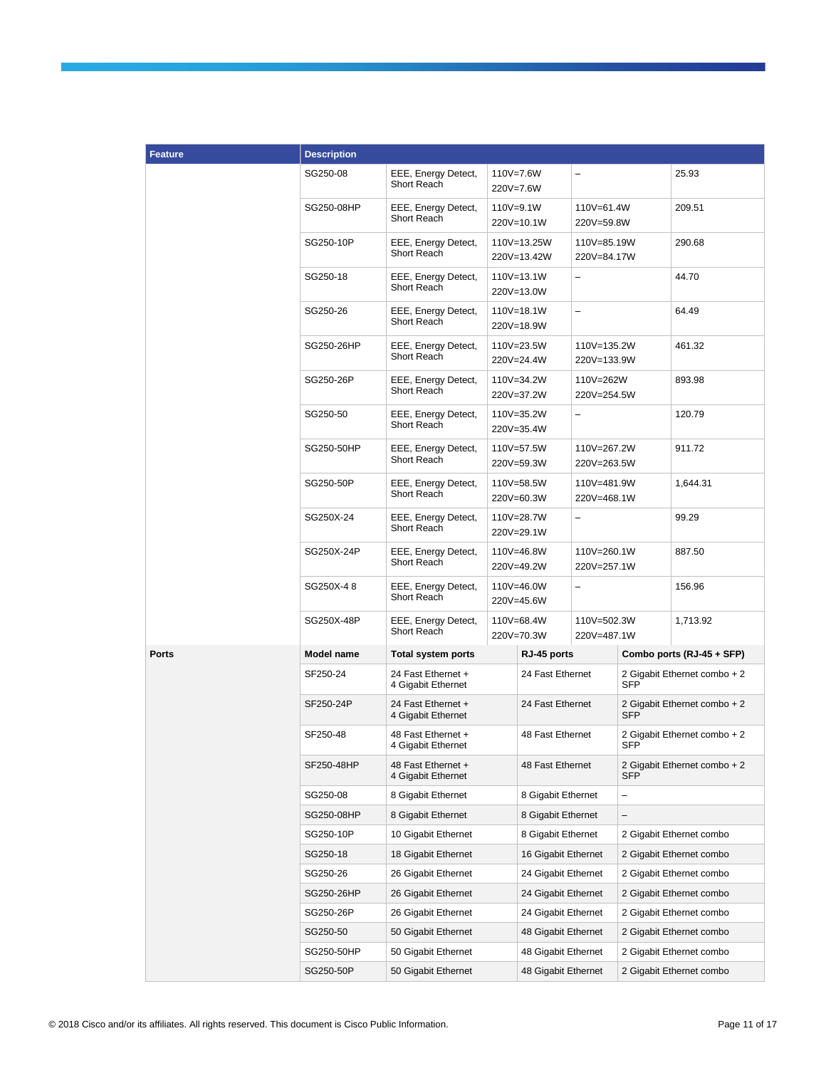| <b>Feature</b> | <b>Description</b>                                                   |                                                              |                                                      |                             |                            |                                            |                              |
|----------------|----------------------------------------------------------------------|--------------------------------------------------------------|------------------------------------------------------|-----------------------------|----------------------------|--------------------------------------------|------------------------------|
|                | SG250-08                                                             | EEE, Energy Detect,<br>Short Reach                           |                                                      | 110V=7.6W<br>220V=7.6W      | -                          |                                            | 25.93                        |
|                | SG250-08HP                                                           | EEE, Energy Detect,<br>Short Reach                           |                                                      | $110V = 9.1W$<br>220V=10.1W |                            | 110V=61.4W<br>220V=59.8W                   | 209.51                       |
|                | SG250-10P                                                            | EEE, Energy Detect,<br>Short Reach                           |                                                      | 110V=13.25W<br>220V=13.42W  | 110V=85.19W<br>220V=84.17W |                                            | 290.68                       |
|                | SG250-18                                                             | EEE, Energy Detect,<br>Short Reach                           |                                                      | 110V=13.1W<br>220V=13.0W    | -                          |                                            | 44.70                        |
|                | SG250-26                                                             | EEE, Energy Detect,<br>Short Reach                           |                                                      | 110V=18.1W<br>220V=18.9W    | $\overline{\phantom{0}}$   |                                            | 64.49                        |
|                | SG250-26HP                                                           | EEE, Energy Detect,<br>Short Reach                           |                                                      | 110V=23.5W<br>220V=24.4W    | 110V=135.2W<br>220V=133.9W |                                            | 461.32                       |
|                | SG250-26P                                                            | EEE, Energy Detect,<br>Short Reach                           |                                                      | 110V=34.2W<br>220V=37.2W    | 110V=262W<br>220V=254.5W   |                                            | 893.98                       |
|                | SG250-50                                                             | EEE, Energy Detect,<br>Short Reach                           |                                                      | 110V=35.2W<br>220V=35.4W    | -                          |                                            | 120.79                       |
|                | SG250-50HP                                                           | EEE, Energy Detect,<br>Short Reach                           |                                                      | 110V=57.5W<br>220V=59.3W    | 110V=267.2W<br>220V=263.5W |                                            | 911.72                       |
|                | SG250-50P                                                            | EEE, Energy Detect,<br>Short Reach                           | 110V=58.5W<br>220V=60.3W                             |                             | 110V=481.9W<br>220V=468.1W |                                            | 1,644.31                     |
|                | SG250X-24                                                            | EEE, Energy Detect,<br>Short Reach                           | 110V=28.7W<br>220V=29.1W<br>110V=46.8W<br>220V=49.2W |                             | -                          |                                            | 99.29                        |
|                | SG250X-24P                                                           | EEE, Energy Detect,<br>Short Reach                           |                                                      |                             | 110V=260.1W<br>220V=257.1W |                                            | 887.50                       |
|                | SG250X-48                                                            | EEE, Energy Detect,<br>Short Reach                           |                                                      | 110V=46.0W<br>220V=45.6W    | -                          |                                            | 156.96                       |
|                | SG250X-48P                                                           | EEE, Energy Detect,<br>Short Reach                           | 110V=68.4W<br>220V=70.3W                             |                             | 110V=502.3W<br>220V=487.1W |                                            | 1,713.92                     |
| <b>Ports</b>   | Model name                                                           | <b>Total system ports</b>                                    |                                                      | RJ-45 ports                 |                            |                                            | Combo ports (RJ-45 + SFP)    |
|                | SF250-24                                                             | 24 Fast Ethernet +<br>4 Gigabit Ethernet                     |                                                      | 24 Fast Ethernet            |                            | <b>SFP</b>                                 | 2 Gigabit Ethernet combo + 2 |
|                | SF250-24P                                                            | 24 Fast Ethernet +<br>4 Gigabit Ethernet                     |                                                      | 24 Fast Ethernet            |                            | 2 Gigabit Ethernet combo + 2<br><b>SFP</b> |                              |
|                | SF250-48                                                             | 48 Fast Ethernet +<br>4 Gigabit Ethernet                     |                                                      | 48 Fast Ethernet            |                            | 2 Gigabit Ethernet combo + 2<br>SFP        |                              |
|                | SF250-48HP                                                           | 48 Fast Ethernet<br>48 Fast Ethernet +<br>4 Gigabit Ethernet |                                                      |                             | <b>SFP</b>                 | 2 Gigabit Ethernet combo + 2               |                              |
|                | SG250-08                                                             | 8 Gigabit Ethernet                                           |                                                      | 8 Gigabit Ethernet          |                            | -                                          |                              |
|                | SG250-08HP                                                           | 8 Gigabit Ethernet                                           |                                                      | 8 Gigabit Ethernet          |                            | -                                          |                              |
|                | SG250-10P                                                            | 10 Gigabit Ethernet                                          |                                                      | 8 Gigabit Ethernet          |                            | 2 Gigabit Ethernet combo                   |                              |
|                | SG250-18                                                             | 18 Gigabit Ethernet                                          |                                                      | 16 Gigabit Ethernet         |                            |                                            | 2 Gigabit Ethernet combo     |
|                | SG250-26<br>26 Gigabit Ethernet<br>SG250-26HP<br>26 Gigabit Ethernet |                                                              | 24 Gigabit Ethernet                                  |                             |                            | 2 Gigabit Ethernet combo                   |                              |
|                |                                                                      |                                                              | 24 Gigabit Ethernet                                  |                             |                            | 2 Gigabit Ethernet combo                   |                              |
|                | SG250-26P                                                            | 26 Gigabit Ethernet                                          |                                                      | 24 Gigabit Ethernet         |                            |                                            | 2 Gigabit Ethernet combo     |
|                | SG250-50                                                             | 50 Gigabit Ethernet                                          |                                                      | 48 Gigabit Ethernet         |                            |                                            | 2 Gigabit Ethernet combo     |
|                | SG250-50HP                                                           | 50 Gigabit Ethernet                                          |                                                      | 48 Gigabit Ethernet         |                            |                                            | 2 Gigabit Ethernet combo     |
|                | SG250-50P                                                            | 50 Gigabit Ethernet                                          |                                                      | 48 Gigabit Ethernet         |                            |                                            | 2 Gigabit Ethernet combo     |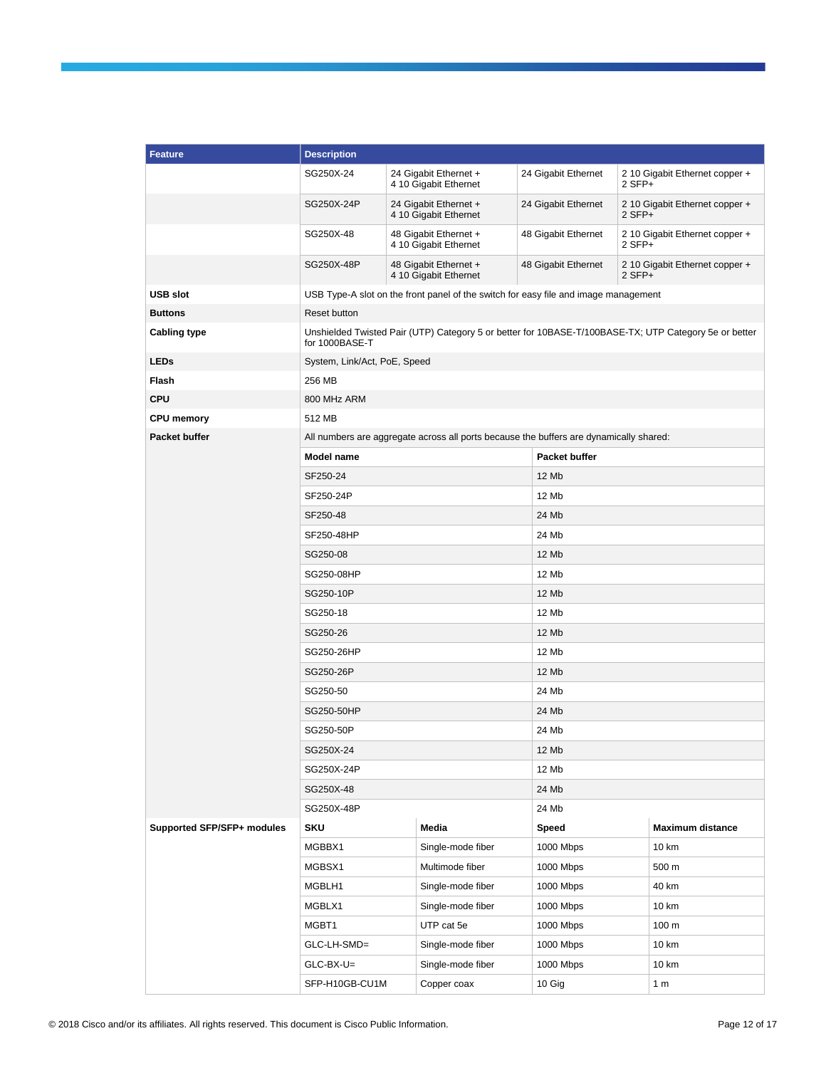| <b>Feature</b>             | <b>Description</b>           |                                                                                                       |                                                                                        |                      |          |                                |  |
|----------------------------|------------------------------|-------------------------------------------------------------------------------------------------------|----------------------------------------------------------------------------------------|----------------------|----------|--------------------------------|--|
|                            | SG250X-24                    |                                                                                                       | 24 Gigabit Ethernet +<br>4 10 Gigabit Ethernet                                         | 24 Gigabit Ethernet  | 2 SFP+   | 2 10 Gigabit Ethernet copper + |  |
|                            | SG250X-24P                   |                                                                                                       | 24 Gigabit Ethernet +<br>4 10 Gigabit Ethernet                                         | 24 Gigabit Ethernet  | $2$ SFP+ | 2 10 Gigabit Ethernet copper + |  |
|                            | SG250X-48                    |                                                                                                       | 48 Gigabit Ethernet +<br>4 10 Gigabit Ethernet                                         | 48 Gigabit Ethernet  | 2 SFP+   | 2 10 Gigabit Ethernet copper + |  |
|                            | SG250X-48P                   |                                                                                                       | 48 Gigabit Ethernet +<br>4 10 Gigabit Ethernet                                         | 48 Gigabit Ethernet  | 2 SFP+   | 2 10 Gigabit Ethernet copper + |  |
| <b>USB slot</b>            |                              |                                                                                                       | USB Type-A slot on the front panel of the switch for easy file and image management    |                      |          |                                |  |
| <b>Buttons</b>             | Reset button                 |                                                                                                       |                                                                                        |                      |          |                                |  |
| <b>Cabling type</b>        | for 1000BASE-T               | Unshielded Twisted Pair (UTP) Category 5 or better for 10BASE-T/100BASE-TX; UTP Category 5e or better |                                                                                        |                      |          |                                |  |
| <b>LEDs</b>                | System, Link/Act, PoE, Speed |                                                                                                       |                                                                                        |                      |          |                                |  |
| <b>Flash</b>               | 256 MB                       |                                                                                                       |                                                                                        |                      |          |                                |  |
| <b>CPU</b>                 | 800 MHz ARM                  |                                                                                                       |                                                                                        |                      |          |                                |  |
| <b>CPU memory</b>          | 512 MB                       |                                                                                                       |                                                                                        |                      |          |                                |  |
| <b>Packet buffer</b>       |                              |                                                                                                       | All numbers are aggregate across all ports because the buffers are dynamically shared: |                      |          |                                |  |
|                            | <b>Model name</b>            |                                                                                                       |                                                                                        | <b>Packet buffer</b> |          |                                |  |
|                            | SF250-24                     |                                                                                                       |                                                                                        | 12 Mb                |          |                                |  |
|                            | SF250-24P                    |                                                                                                       |                                                                                        |                      | 12 Mb    |                                |  |
|                            | SF250-48                     |                                                                                                       |                                                                                        |                      | 24 Mb    |                                |  |
|                            | SF250-48HP                   |                                                                                                       |                                                                                        |                      | 24 Mb    |                                |  |
|                            | SG250-08                     |                                                                                                       |                                                                                        | 12 Mb                |          |                                |  |
|                            | SG250-08HP                   |                                                                                                       |                                                                                        | 12 Mb                |          |                                |  |
|                            | SG250-10P                    |                                                                                                       |                                                                                        | 12 Mb                |          |                                |  |
|                            | SG250-18                     |                                                                                                       |                                                                                        | 12 Mb                |          |                                |  |
|                            | SG250-26                     |                                                                                                       |                                                                                        | 12 Mb                |          |                                |  |
|                            | SG250-26HP                   |                                                                                                       |                                                                                        |                      |          |                                |  |
|                            | SG250-26P                    |                                                                                                       |                                                                                        |                      | 12 Mb    |                                |  |
|                            | SG250-50                     |                                                                                                       |                                                                                        | 24 Mb                |          |                                |  |
|                            | SG250-50HP                   |                                                                                                       |                                                                                        | 24 Mb                |          |                                |  |
|                            | SG250-50P                    |                                                                                                       |                                                                                        | 24 Mb                |          |                                |  |
|                            | SG250X-24                    |                                                                                                       |                                                                                        | 12 Mb                |          |                                |  |
|                            | SG250X-24P                   |                                                                                                       |                                                                                        | 12 Mb                |          |                                |  |
|                            | SG250X-48                    |                                                                                                       |                                                                                        | 24 Mb                |          |                                |  |
|                            | SG250X-48P                   |                                                                                                       |                                                                                        | 24 Mb                |          |                                |  |
| Supported SFP/SFP+ modules | <b>SKU</b>                   |                                                                                                       | Media                                                                                  | Speed                |          | <b>Maximum distance</b>        |  |
|                            | MGBBX1                       |                                                                                                       | Single-mode fiber                                                                      | 1000 Mbps            |          | 10 km                          |  |
|                            | MGBSX1                       |                                                                                                       | Multimode fiber                                                                        | 1000 Mbps            |          | 500 m                          |  |
|                            | MGBLH1                       |                                                                                                       | Single-mode fiber                                                                      | 1000 Mbps            |          | 40 km                          |  |
|                            | MGBLX1                       |                                                                                                       | Single-mode fiber                                                                      | 1000 Mbps            |          | 10 km                          |  |
|                            | MGBT1                        |                                                                                                       | UTP cat 5e                                                                             | 1000 Mbps            |          | 100 <sub>m</sub>               |  |
|                            | GLC-LH-SMD=                  |                                                                                                       | Single-mode fiber                                                                      | 1000 Mbps            |          | 10 km                          |  |
|                            | $GLC-BX-U=$                  |                                                                                                       | Single-mode fiber                                                                      | 1000 Mbps            |          | 10 km                          |  |
|                            | SFP-H10GB-CU1M               |                                                                                                       | Copper coax                                                                            | 10 Gig               |          | 1 <sub>m</sub>                 |  |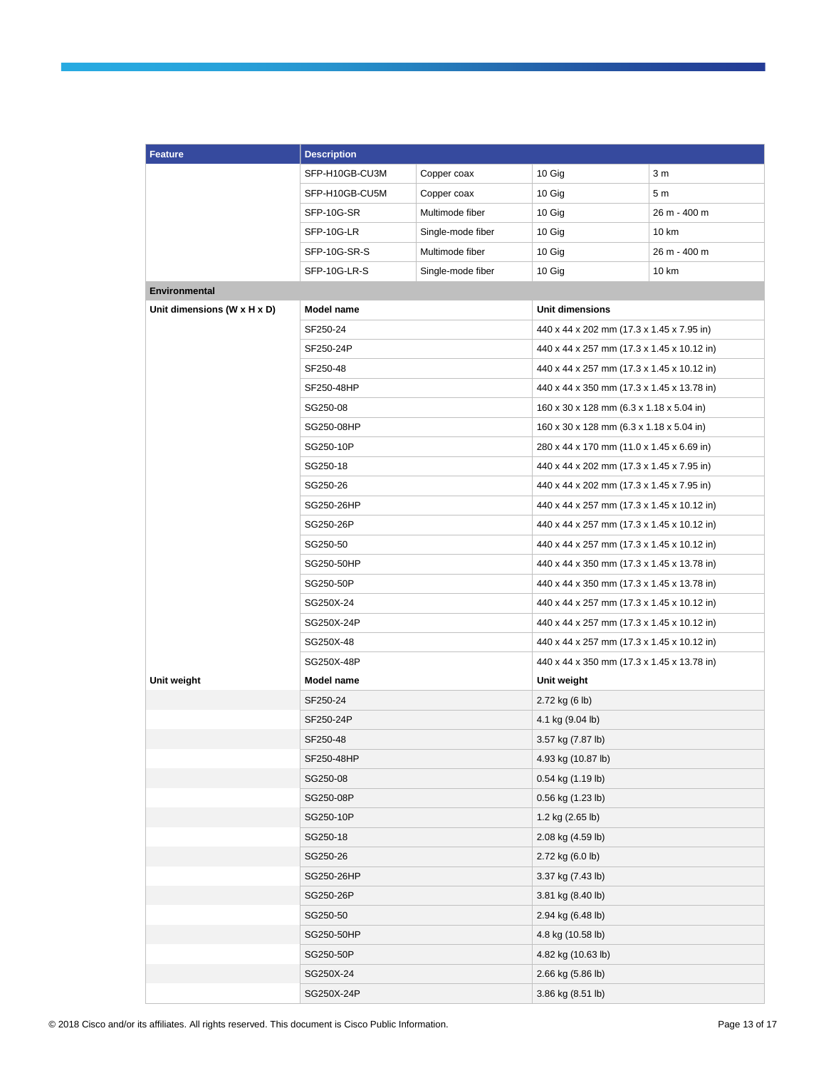| <b>Feature</b>              | <b>Description</b> |                   |                                            |                |  |
|-----------------------------|--------------------|-------------------|--------------------------------------------|----------------|--|
|                             | SFP-H10GB-CU3M     | Copper coax       | 10 Gig                                     | 3 <sub>m</sub> |  |
|                             | SFP-H10GB-CU5M     | Copper coax       | 10 Gig                                     | 5 m            |  |
|                             | SFP-10G-SR         | Multimode fiber   | 10 Gig                                     | 26 m - 400 m   |  |
|                             | SFP-10G-LR         | Single-mode fiber | 10 Gig                                     | 10 km          |  |
|                             | SFP-10G-SR-S       | Multimode fiber   | 10 Gig                                     | 26 m - 400 m   |  |
|                             | SFP-10G-LR-S       | Single-mode fiber | 10 Gig                                     | 10 km          |  |
| <b>Environmental</b>        |                    |                   |                                            |                |  |
| Unit dimensions (W x H x D) | <b>Model name</b>  |                   | Unit dimensions                            |                |  |
|                             | SF250-24           |                   | 440 x 44 x 202 mm (17.3 x 1.45 x 7.95 in)  |                |  |
|                             | SF250-24P          |                   | 440 x 44 x 257 mm (17.3 x 1.45 x 10.12 in) |                |  |
|                             | SF250-48           |                   | 440 x 44 x 257 mm (17.3 x 1.45 x 10.12 in) |                |  |
|                             | SF250-48HP         |                   | 440 x 44 x 350 mm (17.3 x 1.45 x 13.78 in) |                |  |
|                             | SG250-08           |                   | 160 x 30 x 128 mm (6.3 x 1.18 x 5.04 in)   |                |  |
|                             | SG250-08HP         |                   | 160 x 30 x 128 mm (6.3 x 1.18 x 5.04 in)   |                |  |
|                             | SG250-10P          |                   | 280 x 44 x 170 mm (11.0 x 1.45 x 6.69 in)  |                |  |
|                             | SG250-18           |                   | 440 x 44 x 202 mm (17.3 x 1.45 x 7.95 in)  |                |  |
|                             | SG250-26           |                   | 440 x 44 x 202 mm (17.3 x 1.45 x 7.95 in)  |                |  |
|                             | SG250-26HP         |                   | 440 x 44 x 257 mm (17.3 x 1.45 x 10.12 in) |                |  |
|                             | SG250-26P          |                   | 440 x 44 x 257 mm (17.3 x 1.45 x 10.12 in) |                |  |
|                             | SG250-50           |                   | 440 x 44 x 257 mm (17.3 x 1.45 x 10.12 in) |                |  |
|                             | SG250-50HP         |                   | 440 x 44 x 350 mm (17.3 x 1.45 x 13.78 in) |                |  |
|                             | SG250-50P          |                   | 440 x 44 x 350 mm (17.3 x 1.45 x 13.78 in) |                |  |
|                             | SG250X-24          |                   | 440 x 44 x 257 mm (17.3 x 1.45 x 10.12 in) |                |  |
|                             | SG250X-24P         |                   | 440 x 44 x 257 mm (17.3 x 1.45 x 10.12 in) |                |  |
|                             | SG250X-48          |                   | 440 x 44 x 257 mm (17.3 x 1.45 x 10.12 in) |                |  |
|                             | SG250X-48P         |                   | 440 x 44 x 350 mm (17.3 x 1.45 x 13.78 in) |                |  |
| Unit weight                 | Model name         |                   | Unit weight                                |                |  |
|                             | SF250-24           |                   | 2.72 kg (6 lb)                             |                |  |
|                             | SF250-24P          |                   | 4.1 kg (9.04 lb)                           |                |  |
|                             | SF250-48           |                   | 3.57 kg (7.87 lb)                          |                |  |
|                             | SF250-48HP         |                   | 4.93 kg (10.87 lb)                         |                |  |
|                             | SG250-08           |                   | 0.54 kg (1.19 lb)                          |                |  |
|                             | SG250-08P          |                   | 0.56 kg (1.23 lb)                          |                |  |
|                             | SG250-10P          |                   | 1.2 kg (2.65 lb)                           |                |  |
|                             | SG250-18           |                   | 2.08 kg (4.59 lb)                          |                |  |
|                             | SG250-26           |                   | 2.72 kg (6.0 lb)                           |                |  |
|                             | SG250-26HP         |                   | 3.37 kg (7.43 lb)                          |                |  |
|                             | SG250-26P          |                   | 3.81 kg (8.40 lb)                          |                |  |
|                             | SG250-50           |                   | 2.94 kg (6.48 lb)                          |                |  |
|                             | SG250-50HP         |                   | 4.8 kg (10.58 lb)                          |                |  |
|                             | SG250-50P          |                   | 4.82 kg (10.63 lb)                         |                |  |
|                             | SG250X-24          |                   | 2.66 kg (5.86 lb)                          |                |  |
|                             | SG250X-24P         |                   | 3.86 kg (8.51 lb)                          |                |  |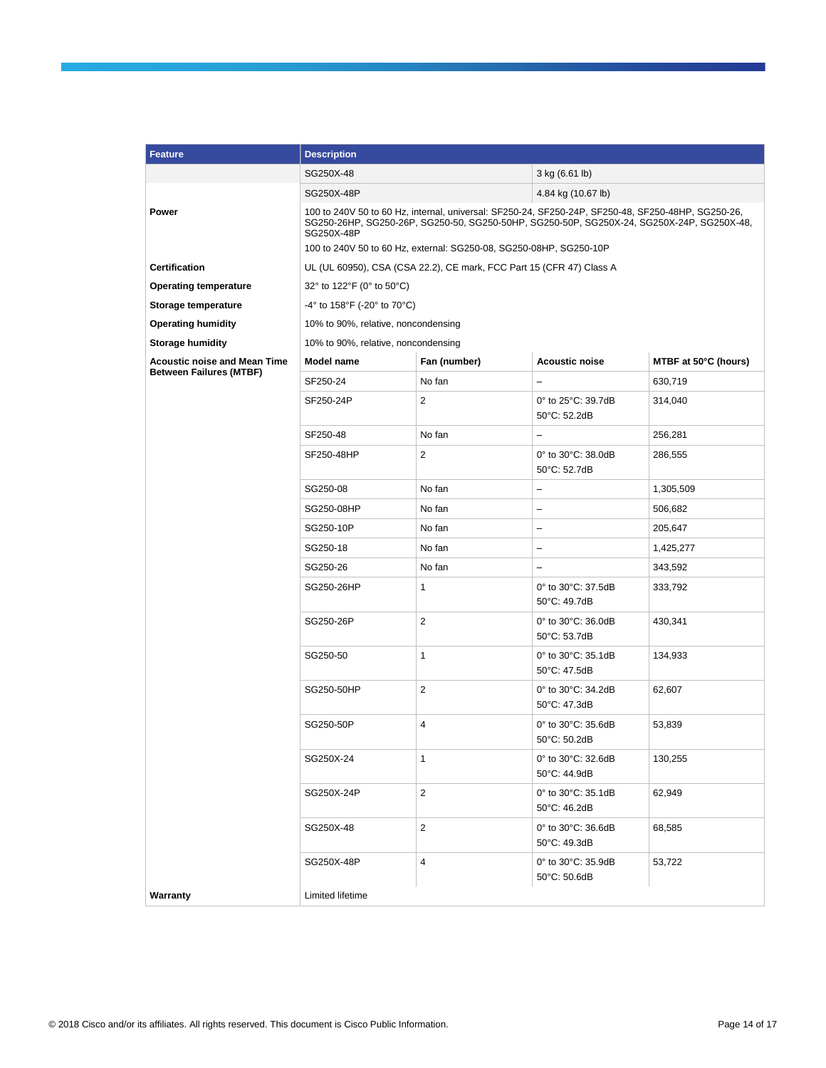| <b>Feature</b>                                                        | <b>Description</b>                                                                                                                                                                                            |                                                                      |                                                |                      |  |  |
|-----------------------------------------------------------------------|---------------------------------------------------------------------------------------------------------------------------------------------------------------------------------------------------------------|----------------------------------------------------------------------|------------------------------------------------|----------------------|--|--|
|                                                                       | SG250X-48                                                                                                                                                                                                     | 3 kg (6.61 lb)                                                       |                                                |                      |  |  |
|                                                                       | SG250X-48P<br>4.84 kg (10.67 lb)                                                                                                                                                                              |                                                                      |                                                |                      |  |  |
| Power                                                                 | 100 to 240V 50 to 60 Hz, internal, universal: SF250-24, SF250-24P, SF250-48, SF250-48HP, SG250-26,<br>SG250-26HP, SG250-26P, SG250-50, SG250-50HP, SG250-50P, SG250X-24, SG250X-24P, SG250X-48,<br>SG250X-48P |                                                                      |                                                |                      |  |  |
|                                                                       |                                                                                                                                                                                                               | 100 to 240V 50 to 60 Hz, external: SG250-08, SG250-08HP, SG250-10P   |                                                |                      |  |  |
| <b>Certification</b>                                                  |                                                                                                                                                                                                               | UL (UL 60950), CSA (CSA 22.2), CE mark, FCC Part 15 (CFR 47) Class A |                                                |                      |  |  |
| <b>Operating temperature</b>                                          | 32° to 122°F (0° to 50°C)                                                                                                                                                                                     |                                                                      |                                                |                      |  |  |
| Storage temperature                                                   | $-4^{\circ}$ to 158°F ( $-20^{\circ}$ to 70°C)                                                                                                                                                                |                                                                      |                                                |                      |  |  |
| <b>Operating humidity</b>                                             | 10% to 90%, relative, noncondensing                                                                                                                                                                           |                                                                      |                                                |                      |  |  |
| <b>Storage humidity</b>                                               | 10% to 90%, relative, noncondensing                                                                                                                                                                           |                                                                      |                                                |                      |  |  |
| <b>Acoustic noise and Mean Time</b><br><b>Between Failures (MTBF)</b> | Model name                                                                                                                                                                                                    | Fan (number)                                                         | <b>Acoustic noise</b>                          | MTBF at 50°C (hours) |  |  |
|                                                                       | SF250-24                                                                                                                                                                                                      | No fan                                                               |                                                | 630,719              |  |  |
|                                                                       | SF250-24P                                                                                                                                                                                                     | $\overline{2}$                                                       | 0° to 25°C: 39.7dB<br>50°C: 52.2dB             | 314,040              |  |  |
|                                                                       | SF250-48                                                                                                                                                                                                      | No fan                                                               | $\overline{\phantom{0}}$                       | 256,281              |  |  |
|                                                                       | SF250-48HP                                                                                                                                                                                                    | $\overline{2}$                                                       | 0° to 30°C: 38.0dB<br>50°C: 52.7dB             | 286,555              |  |  |
|                                                                       | SG250-08                                                                                                                                                                                                      | No fan                                                               | $\qquad \qquad -$                              | 1,305,509            |  |  |
|                                                                       | SG250-08HP                                                                                                                                                                                                    | No fan                                                               | $\overline{a}$                                 | 506,682              |  |  |
|                                                                       | SG250-10P                                                                                                                                                                                                     | No fan                                                               | $\overline{\phantom{0}}$                       | 205,647              |  |  |
|                                                                       | SG250-18                                                                                                                                                                                                      | No fan                                                               | $\qquad \qquad -$                              | 1,425,277            |  |  |
|                                                                       | SG250-26                                                                                                                                                                                                      | No fan                                                               |                                                | 343,592              |  |  |
|                                                                       | SG250-26HP                                                                                                                                                                                                    | 1                                                                    | 0° to 30°C: 37.5dB<br>50°C: 49.7dB             | 333,792              |  |  |
|                                                                       | SG250-26P                                                                                                                                                                                                     | $\mathbf{2}$                                                         | 0° to 30°C: 36.0dB<br>50°C: 53.7dB             | 430,341              |  |  |
|                                                                       | SG250-50                                                                                                                                                                                                      | $\mathbf{1}$                                                         | 0° to 30°C: 35.1dB<br>50°C: 47.5dB             | 134,933              |  |  |
|                                                                       | SG250-50HP                                                                                                                                                                                                    | 2                                                                    | 0° to 30°C: 34.2dB<br>$50^{\circ}$ C: 47.3dB   | 62,607               |  |  |
|                                                                       | SG250-50P                                                                                                                                                                                                     | $\overline{4}$                                                       | 0° to 30°C: 35.6dB<br>50°C: 50.2dB             | 53,839               |  |  |
|                                                                       | SG250X-24                                                                                                                                                                                                     | 1                                                                    | 0° to 30°C: 32.6dB<br>50°C: 44.9dB             | 130,255              |  |  |
|                                                                       | SG250X-24P                                                                                                                                                                                                    | $\overline{c}$                                                       | 0° to 30°C: 35.1dB<br>50°C: 46.2dB             | 62,949               |  |  |
|                                                                       | SG250X-48                                                                                                                                                                                                     | $\overline{2}$                                                       | 0° to 30°C: 36.6dB<br>50°C: 49.3dB             | 68,585               |  |  |
|                                                                       | SG250X-48P                                                                                                                                                                                                    | 4                                                                    | 0° to 30°C: 35.9dB<br>$50^{\circ}$ C: $50.6dB$ | 53,722               |  |  |
| Warranty                                                              | Limited lifetime                                                                                                                                                                                              |                                                                      |                                                |                      |  |  |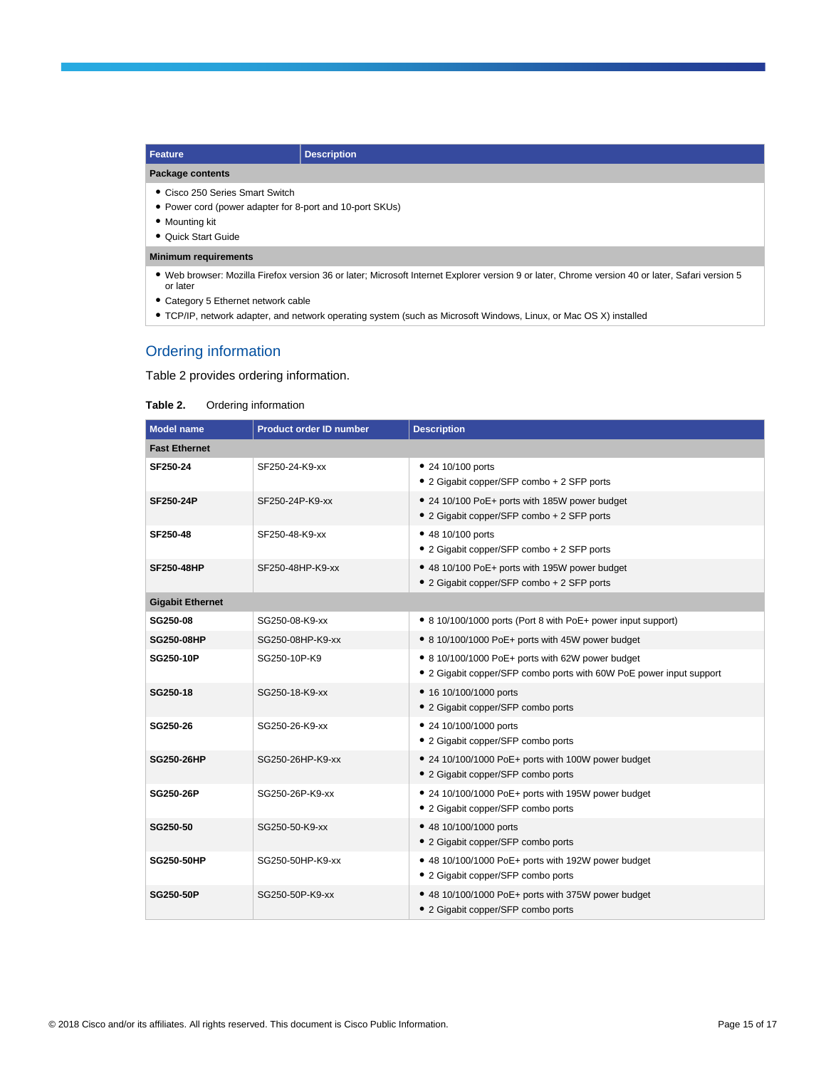| <b>Description</b><br>Feature                            |  |  |  |
|----------------------------------------------------------|--|--|--|
| Package contents                                         |  |  |  |
| • Cisco 250 Series Smart Switch                          |  |  |  |
| • Power cord (power adapter for 8-port and 10-port SKUs) |  |  |  |
| • Mounting kit                                           |  |  |  |
| • Quick Start Guide                                      |  |  |  |

#### **Minimum requirements**

- Web browser: Mozilla Firefox version 36 or later; Microsoft Internet Explorer version 9 or later, Chrome version 40 or later, Safari version 5 or later
- Category 5 Ethernet network cable
- TCP/IP, network adapter, and network operating system (such as Microsoft Windows, Linux, or Mac OS X) installed

## Ordering information

Table 2 provides ordering information.

#### **Table 2.** Ordering information

| Model name              | <b>Product order ID number</b> | <b>Description</b>                                                                                                      |  |  |
|-------------------------|--------------------------------|-------------------------------------------------------------------------------------------------------------------------|--|--|
| <b>Fast Ethernet</b>    |                                |                                                                                                                         |  |  |
| SF250-24                | SF250-24-K9-xx                 | • 24 10/100 ports<br>• 2 Gigabit copper/SFP combo + 2 SFP ports                                                         |  |  |
| <b>SF250-24P</b>        | SF250-24P-K9-xx                | • 24 10/100 PoE+ ports with 185W power budget<br>• 2 Gigabit copper/SFP combo + 2 SFP ports                             |  |  |
| SF250-48                | SF250-48-K9-xx                 | • 48 10/100 ports<br>• 2 Gigabit copper/SFP combo + 2 SFP ports                                                         |  |  |
| <b>SF250-48HP</b>       | SF250-48HP-K9-xx               | • 48 10/100 PoE+ ports with 195W power budget<br>• 2 Gigabit copper/SFP combo + 2 SFP ports                             |  |  |
| <b>Gigabit Ethernet</b> |                                |                                                                                                                         |  |  |
| SG250-08                | SG250-08-K9-xx                 | • 8 10/100/1000 ports (Port 8 with PoE+ power input support)                                                            |  |  |
| SG250-08HP              | SG250-08HP-K9-xx               | • 8 10/100/1000 PoE+ ports with 45W power budget                                                                        |  |  |
| <b>SG250-10P</b>        | SG250-10P-K9                   | • 8 10/100/1000 PoE+ ports with 62W power budget<br>• 2 Gigabit copper/SFP combo ports with 60W PoE power input support |  |  |
| SG250-18                | SG250-18-K9-xx                 | • 16 10/100/1000 ports<br>• 2 Gigabit copper/SFP combo ports                                                            |  |  |
| SG250-26                | SG250-26-K9-xx                 | • 24 10/100/1000 ports<br>• 2 Gigabit copper/SFP combo ports                                                            |  |  |
| <b>SG250-26HP</b>       | SG250-26HP-K9-xx               | • 24 10/100/1000 PoE+ ports with 100W power budget<br>• 2 Gigabit copper/SFP combo ports                                |  |  |
| <b>SG250-26P</b>        | SG250-26P-K9-xx                | • 24 10/100/1000 PoE+ ports with 195W power budget<br>• 2 Gigabit copper/SFP combo ports                                |  |  |
| SG250-50                | SG250-50-K9-xx                 | • 48 10/100/1000 ports<br>• 2 Gigabit copper/SFP combo ports                                                            |  |  |
| <b>SG250-50HP</b>       | SG250-50HP-K9-xx               | • 48 10/100/1000 PoE+ ports with 192W power budget<br>• 2 Gigabit copper/SFP combo ports                                |  |  |
| <b>SG250-50P</b>        | SG250-50P-K9-xx                | • 48 10/100/1000 PoE+ ports with 375W power budget<br>• 2 Gigabit copper/SFP combo ports                                |  |  |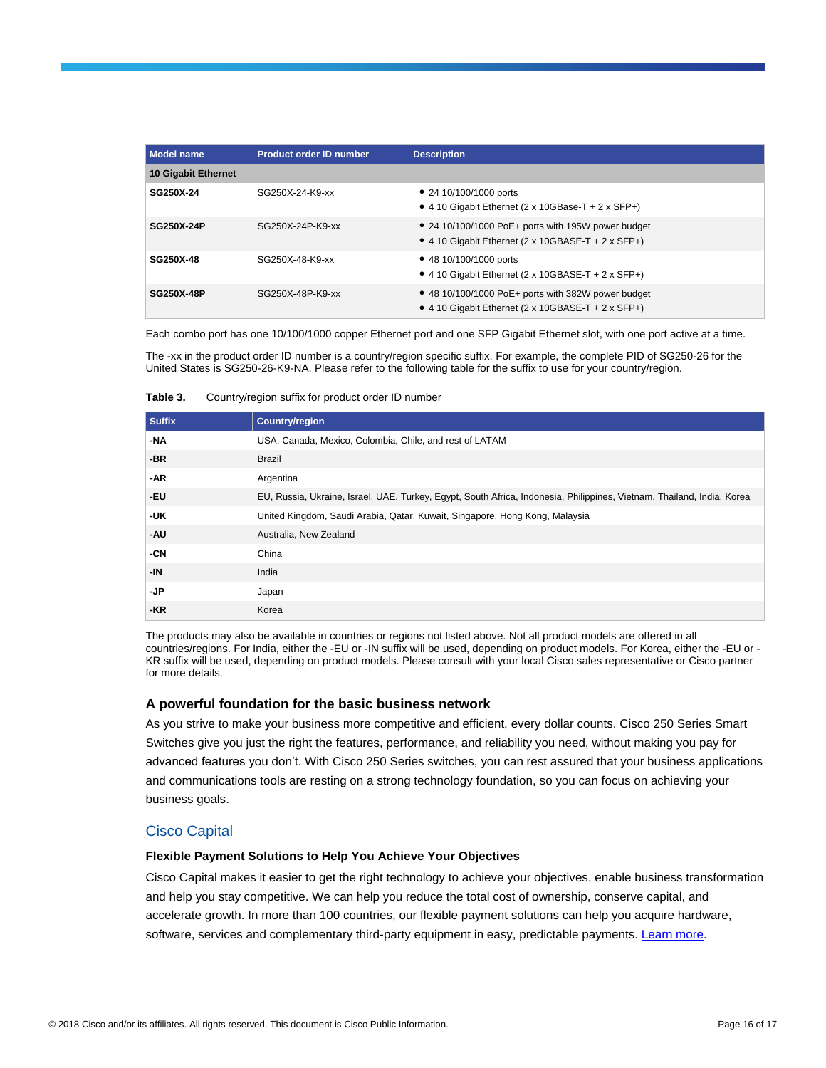| <b>Model name</b>   | <b>Product order ID number</b> | <b>Description</b>                                                                                       |  |  |
|---------------------|--------------------------------|----------------------------------------------------------------------------------------------------------|--|--|
| 10 Gigabit Ethernet |                                |                                                                                                          |  |  |
| SG250X-24           | SG250X-24-K9-xx                | • 24 10/100/1000 ports<br>• 4 10 Gigabit Ethernet (2 x 10GBase-T + 2 x SFP+)                             |  |  |
| SG250X-24P          | SG250X-24P-K9-xx               | • 24 10/100/1000 PoE+ ports with 195W power budget<br>• 4 10 Gigabit Ethernet (2 x 10GBASE-T + 2 x SFP+) |  |  |
| SG250X-48           | SG250X-48-K9-xx                | • 48 10/100/1000 ports<br>• 4 10 Gigabit Ethernet (2 x 10GBASE-T + 2 x SFP+)                             |  |  |
| <b>SG250X-48P</b>   | SG250X-48P-K9-xx               | • 48 10/100/1000 PoE+ ports with 382W power budget<br>• 4 10 Gigabit Ethernet (2 x 10GBASE-T + 2 x SFP+) |  |  |

Each combo port has one 10/100/1000 copper Ethernet port and one SFP Gigabit Ethernet slot, with one port active at a time.

The -xx in the product order ID number is a country/region specific suffix. For example, the complete PID of SG250-26 for the United States is SG250-26-K9-NA. Please refer to the following table for the suffix to use for your country/region.

| Table 3. | Country/region suffix for product order ID number |  |  |
|----------|---------------------------------------------------|--|--|
|          |                                                   |  |  |

| <b>Suffix</b> | <b>Country/region</b>                                                                                                  |
|---------------|------------------------------------------------------------------------------------------------------------------------|
| -NA           | USA, Canada, Mexico, Colombia, Chile, and rest of LATAM                                                                |
| $-BR$         | <b>Brazil</b>                                                                                                          |
| -AR           | Argentina                                                                                                              |
| -EU           | EU, Russia, Ukraine, Israel, UAE, Turkey, Egypt, South Africa, Indonesia, Philippines, Vietnam, Thailand, India, Korea |
| -UK           | United Kingdom, Saudi Arabia, Qatar, Kuwait, Singapore, Hong Kong, Malaysia                                            |
| -AU           | Australia, New Zealand                                                                                                 |
| -CN           | China                                                                                                                  |
| -IN           | India                                                                                                                  |
| -JP           | Japan                                                                                                                  |
| -KR           | Korea                                                                                                                  |

The products may also be available in countries or regions not listed above. Not all product models are offered in all countries/regions. For India, either the -EU or -IN suffix will be used, depending on product models. For Korea, either the -EU or - KR suffix will be used, depending on product models. Please consult with your local Cisco sales representative or Cisco partner for more details.

#### **A powerful foundation for the basic business network**

As you strive to make your business more competitive and efficient, every dollar counts. Cisco 250 Series Smart Switches give you just the right the features, performance, and reliability you need, without making you pay for advanced features you don't. With Cisco 250 Series switches, you can rest assured that your business applications and communications tools are resting on a strong technology foundation, so you can focus on achieving your business goals.

## Cisco Capital

#### **Flexible Payment Solutions to Help You Achieve Your Objectives**

Cisco Capital makes it easier to get the right technology to achieve your objectives, enable business transformation and help you stay competitive. We can help you reduce the total cost of ownership, conserve capital, and accelerate growth. In more than 100 countries, our flexible payment solutions can help you acquire hardware, software, services and complementary third-party equipment in easy, predictable payments. [Learn more.](https://www.cisco.com/go/financing)